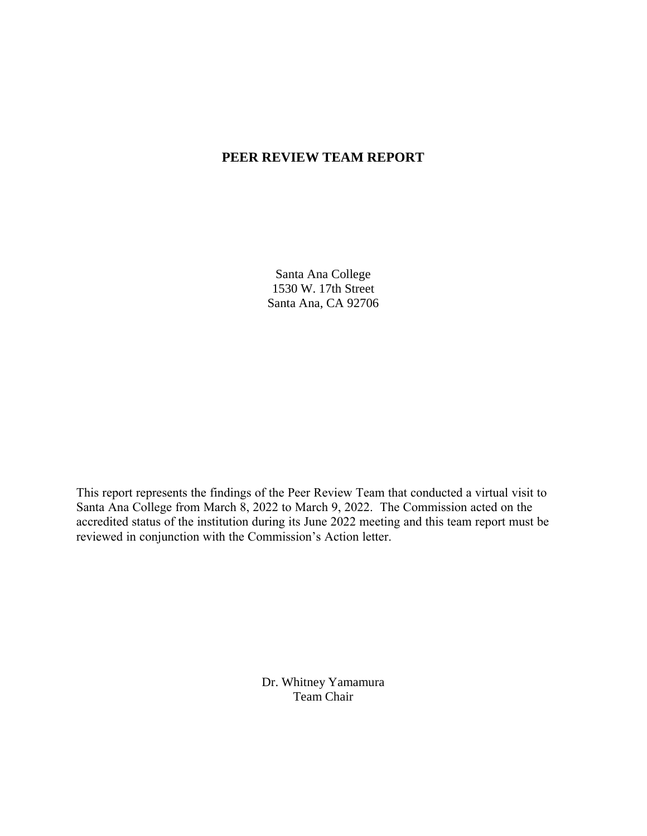### **PEER REVIEW TEAM REPORT**

Santa Ana College 1530 W. 17th Street Santa Ana, CA 92706

This report represents the findings of the Peer Review Team that conducted a virtual visit to Santa Ana College from March 8, 2022 to March 9, 2022. The Commission acted on the accredited status of the institution during its June 2022 meeting and this team report must be reviewed in conjunction with the Commission's Action letter.

> Dr. Whitney Yamamura Team Chair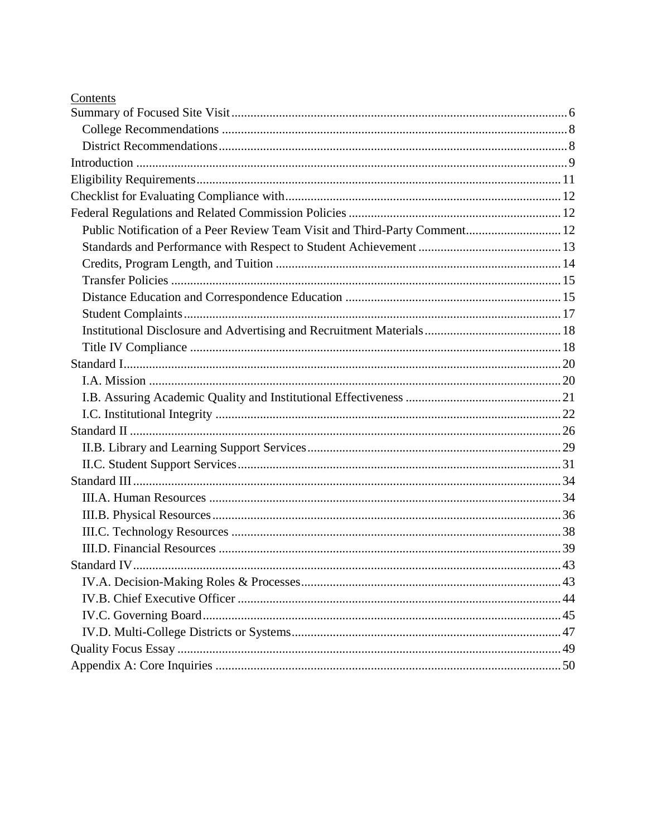| Contents                                                                   |  |
|----------------------------------------------------------------------------|--|
|                                                                            |  |
|                                                                            |  |
|                                                                            |  |
|                                                                            |  |
|                                                                            |  |
|                                                                            |  |
|                                                                            |  |
| Public Notification of a Peer Review Team Visit and Third-Party Comment 12 |  |
|                                                                            |  |
|                                                                            |  |
|                                                                            |  |
|                                                                            |  |
|                                                                            |  |
|                                                                            |  |
|                                                                            |  |
|                                                                            |  |
|                                                                            |  |
|                                                                            |  |
|                                                                            |  |
|                                                                            |  |
|                                                                            |  |
|                                                                            |  |
|                                                                            |  |
|                                                                            |  |
|                                                                            |  |
|                                                                            |  |
|                                                                            |  |
|                                                                            |  |
|                                                                            |  |
|                                                                            |  |
|                                                                            |  |
|                                                                            |  |
|                                                                            |  |
|                                                                            |  |
|                                                                            |  |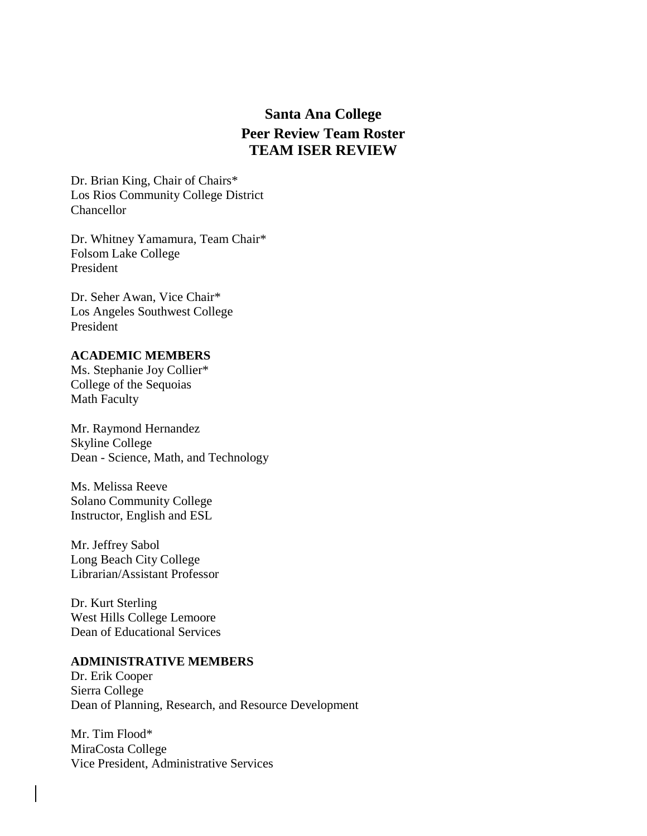# **Santa Ana College Peer Review Team Roster TEAM ISER REVIEW**

Dr. Brian King, Chair of Chairs\* Los Rios Community College District Chancellor

Dr. Whitney Yamamura, Team Chair\* Folsom Lake College President

Dr. Seher Awan, Vice Chair\* Los Angeles Southwest College President

#### **ACADEMIC MEMBERS**

Ms. Stephanie Joy Collier\* College of the Sequoias Math Faculty

Mr. Raymond Hernandez Skyline College Dean - Science, Math, and Technology

Ms. Melissa Reeve Solano Community College Instructor, English and ESL

Mr. Jeffrey Sabol Long Beach City College Librarian/Assistant Professor

Dr. Kurt Sterling West Hills College Lemoore Dean of Educational Services

#### **ADMINISTRATIVE MEMBERS**

Dr. Erik Cooper Sierra College Dean of Planning, Research, and Resource Development

Mr. Tim Flood\* MiraCosta College Vice President, Administrative Services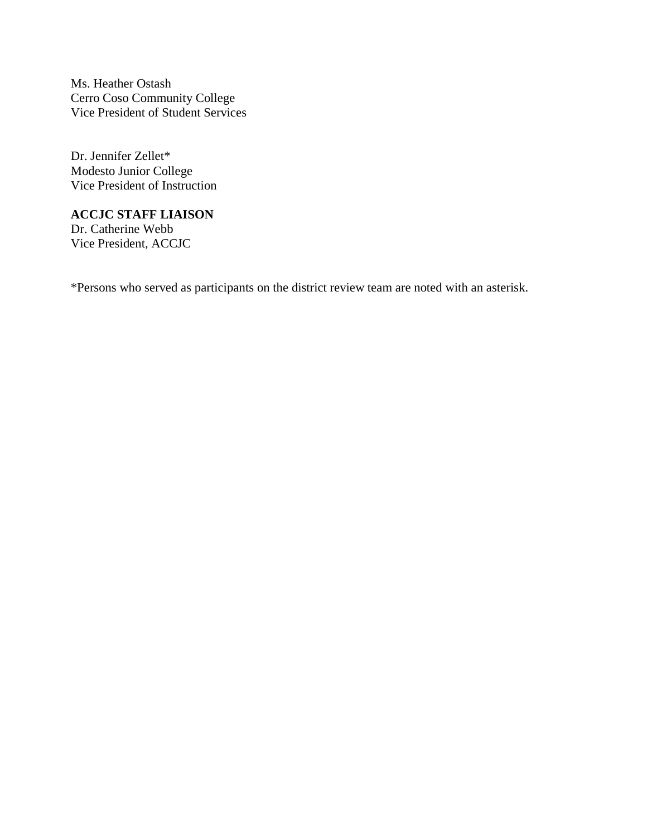Ms. Heather Ostash Cerro Coso Community College Vice President of Student Services

Dr. Jennifer Zellet\* Modesto Junior College Vice President of Instruction

#### **ACCJC STAFF LIAISON**

Dr. Catherine Webb Vice President, ACCJC

\*Persons who served as participants on the district review team are noted with an asterisk.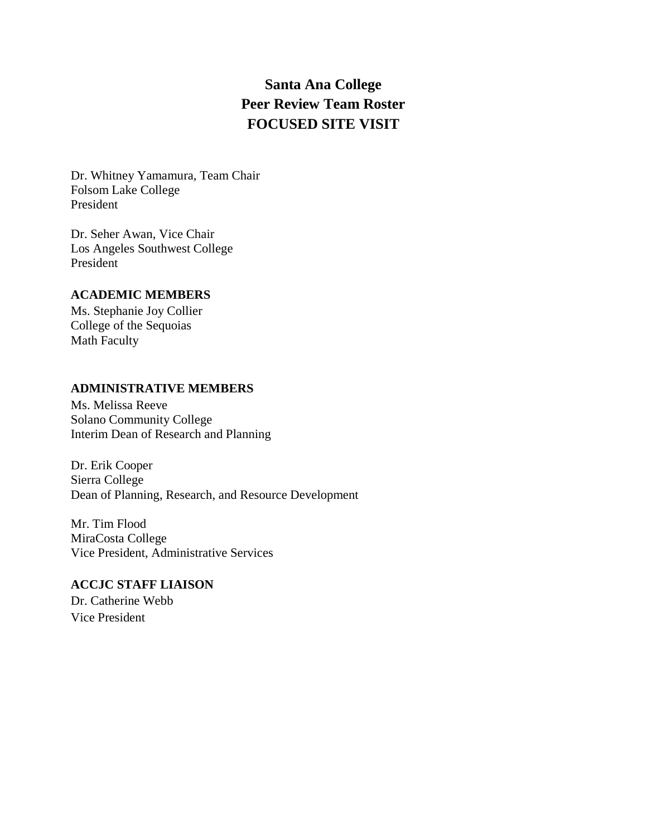# **Santa Ana College Peer Review Team Roster FOCUSED SITE VISIT**

Dr. Whitney Yamamura, Team Chair Folsom Lake College President

Dr. Seher Awan, Vice Chair Los Angeles Southwest College President

#### **ACADEMIC MEMBERS**

Ms. Stephanie Joy Collier College of the Sequoias Math Faculty

#### **ADMINISTRATIVE MEMBERS**

Ms. Melissa Reeve Solano Community College Interim Dean of Research and Planning

Dr. Erik Cooper Sierra College Dean of Planning, Research, and Resource Development

Mr. Tim Flood MiraCosta College Vice President, Administrative Services

**ACCJC STAFF LIAISON** Dr. Catherine Webb Vice President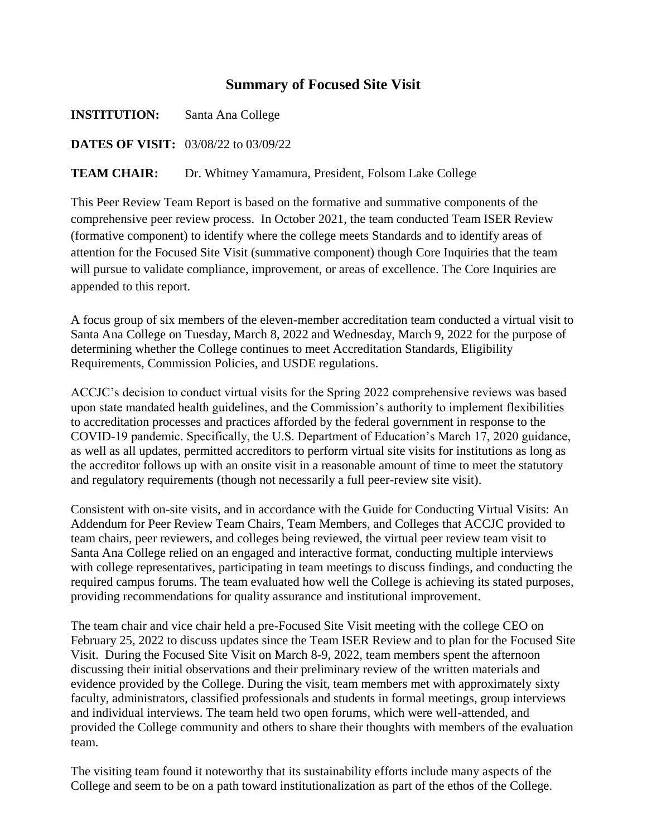# **Summary of Focused Site Visit**

<span id="page-5-0"></span>**INSTITUTION:** Santa Ana College

**DATES OF VISIT:** 03/08/22 to 03/09/22

**TEAM CHAIR:** Dr. Whitney Yamamura, President, Folsom Lake College

This Peer Review Team Report is based on the formative and summative components of the comprehensive peer review process. In October 2021, the team conducted Team ISER Review (formative component) to identify where the college meets Standards and to identify areas of attention for the Focused Site Visit (summative component) though Core Inquiries that the team will pursue to validate compliance, improvement, or areas of excellence. The Core Inquiries are appended to this report.

A focus group of six members of the eleven-member accreditation team conducted a virtual visit to Santa Ana College on Tuesday, March 8, 2022 and Wednesday, March 9, 2022 for the purpose of determining whether the College continues to meet Accreditation Standards, Eligibility Requirements, Commission Policies, and USDE regulations.

ACCJC's decision to conduct virtual visits for the Spring 2022 comprehensive reviews was based upon state mandated health guidelines, and the Commission's authority to implement flexibilities to accreditation processes and practices afforded by the federal government in response to the COVID-19 pandemic. Specifically, the U.S. Department of Education's March 17, 2020 guidance, as well as all updates, permitted accreditors to perform virtual site visits for institutions as long as the accreditor follows up with an onsite visit in a reasonable amount of time to meet the statutory and regulatory requirements (though not necessarily a full peer-review site visit).

Consistent with on-site visits, and in accordance with the Guide for Conducting Virtual Visits: An Addendum for Peer Review Team Chairs, Team Members, and Colleges that ACCJC provided to team chairs, peer reviewers, and colleges being reviewed, the virtual peer review team visit to Santa Ana College relied on an engaged and interactive format, conducting multiple interviews with college representatives, participating in team meetings to discuss findings, and conducting the required campus forums. The team evaluated how well the College is achieving its stated purposes, providing recommendations for quality assurance and institutional improvement.

The team chair and vice chair held a pre-Focused Site Visit meeting with the college CEO on February 25, 2022 to discuss updates since the Team ISER Review and to plan for the Focused Site Visit. During the Focused Site Visit on March 8-9, 2022, team members spent the afternoon discussing their initial observations and their preliminary review of the written materials and evidence provided by the College. During the visit, team members met with approximately sixty faculty, administrators, classified professionals and students in formal meetings, group interviews and individual interviews. The team held two open forums, which were well-attended, and provided the College community and others to share their thoughts with members of the evaluation team.

The visiting team found it noteworthy that its sustainability efforts include many aspects of the College and seem to be on a path toward institutionalization as part of the ethos of the College.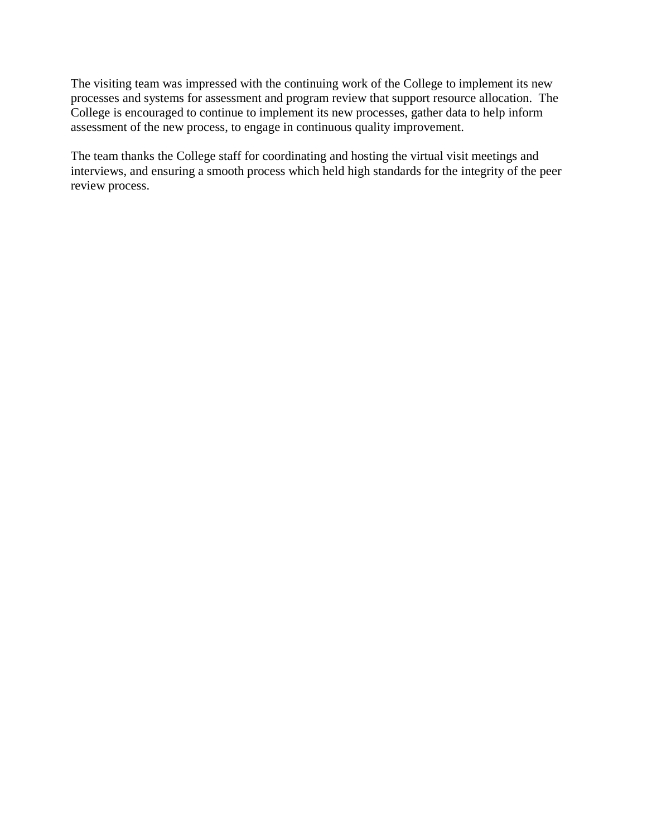The visiting team was impressed with the continuing work of the College to implement its new processes and systems for assessment and program review that support resource allocation. The College is encouraged to continue to implement its new processes, gather data to help inform assessment of the new process, to engage in continuous quality improvement.

The team thanks the College staff for coordinating and hosting the virtual visit meetings and interviews, and ensuring a smooth process which held high standards for the integrity of the peer review process.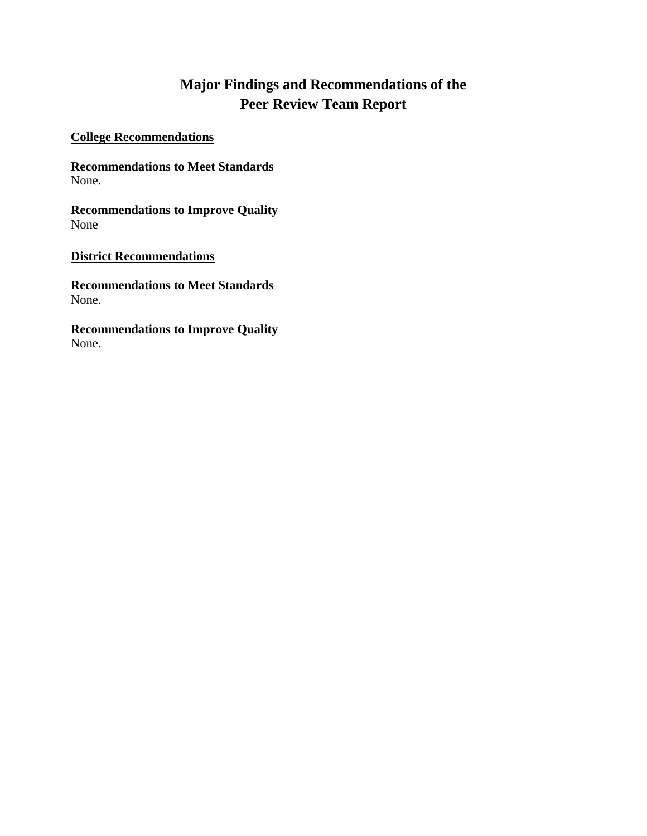# **Major Findings and Recommendations of the Peer Review Team Report**

### <span id="page-7-0"></span>**College Recommendations**

**Recommendations to Meet Standards** None.

**Recommendations to Improve Quality** None

<span id="page-7-1"></span>**District Recommendations**

**Recommendations to Meet Standards** None.

**Recommendations to Improve Quality** None.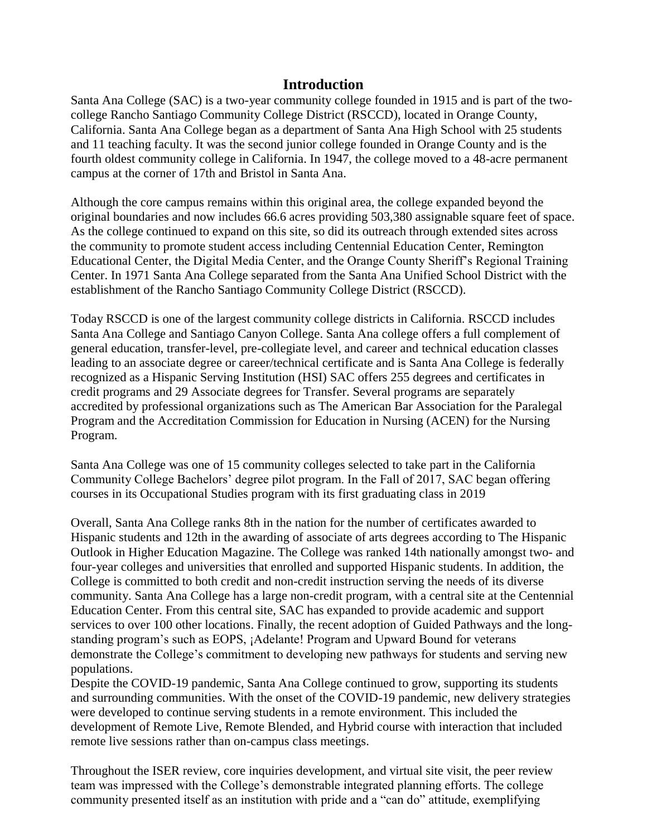# **Introduction**

<span id="page-8-0"></span>Santa Ana College (SAC) is a two-year community college founded in 1915 and is part of the twocollege Rancho Santiago Community College District (RSCCD), located in Orange County, California. Santa Ana College began as a department of Santa Ana High School with 25 students and 11 teaching faculty. It was the second junior college founded in Orange County and is the fourth oldest community college in California. In 1947, the college moved to a 48-acre permanent campus at the corner of 17th and Bristol in Santa Ana.

Although the core campus remains within this original area, the college expanded beyond the original boundaries and now includes 66.6 acres providing 503,380 assignable square feet of space. As the college continued to expand on this site, so did its outreach through extended sites across the community to promote student access including Centennial Education Center, Remington Educational Center, the Digital Media Center, and the Orange County Sheriff's Regional Training Center. In 1971 Santa Ana College separated from the Santa Ana Unified School District with the establishment of the Rancho Santiago Community College District (RSCCD).

Today RSCCD is one of the largest community college districts in California. RSCCD includes Santa Ana College and Santiago Canyon College. Santa Ana college offers a full complement of general education, transfer-level, pre-collegiate level, and career and technical education classes leading to an associate degree or career/technical certificate and is Santa Ana College is federally recognized as a Hispanic Serving Institution (HSI) SAC offers 255 degrees and certificates in credit programs and 29 Associate degrees for Transfer. Several programs are separately accredited by professional organizations such as The American Bar Association for the Paralegal Program and the Accreditation Commission for Education in Nursing (ACEN) for the Nursing Program.

Santa Ana College was one of 15 community colleges selected to take part in the California Community College Bachelors' degree pilot program. In the Fall of 2017, SAC began offering courses in its Occupational Studies program with its first graduating class in 2019

Overall, Santa Ana College ranks 8th in the nation for the number of certificates awarded to Hispanic students and 12th in the awarding of associate of arts degrees according to The Hispanic Outlook in Higher Education Magazine. The College was ranked 14th nationally amongst two- and four-year colleges and universities that enrolled and supported Hispanic students. In addition, the College is committed to both credit and non-credit instruction serving the needs of its diverse community. Santa Ana College has a large non-credit program, with a central site at the Centennial Education Center. From this central site, SAC has expanded to provide academic and support services to over 100 other locations. Finally, the recent adoption of Guided Pathways and the longstanding program's such as EOPS, ¡Adelante! Program and Upward Bound for veterans demonstrate the College's commitment to developing new pathways for students and serving new populations.

Despite the COVID-19 pandemic, Santa Ana College continued to grow, supporting its students and surrounding communities. With the onset of the COVID-19 pandemic, new delivery strategies were developed to continue serving students in a remote environment. This included the development of Remote Live, Remote Blended, and Hybrid course with interaction that included remote live sessions rather than on-campus class meetings.

Throughout the ISER review, core inquiries development, and virtual site visit, the peer review team was impressed with the College's demonstrable integrated planning efforts. The college community presented itself as an institution with pride and a "can do" attitude, exemplifying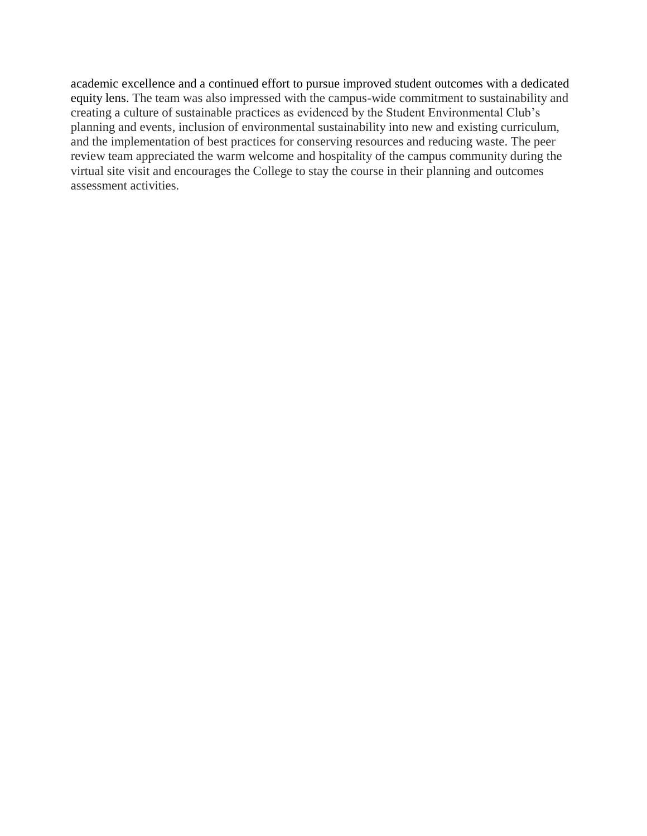academic excellence and a continued effort to pursue improved student outcomes with a dedicated equity lens. The team was also impressed with the campus-wide commitment to sustainability and creating a culture of sustainable practices as evidenced by the Student Environmental Club's planning and events, inclusion of environmental sustainability into new and existing curriculum, and the implementation of best practices for conserving resources and reducing waste. The peer review team appreciated the warm welcome and hospitality of the campus community during the virtual site visit and encourages the College to stay the course in their planning and outcomes assessment activities.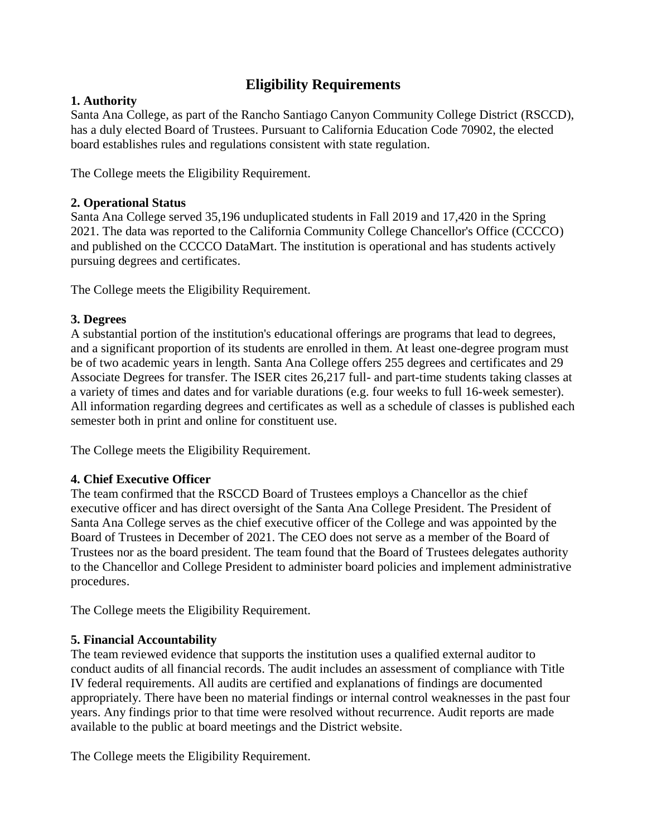# **Eligibility Requirements**

### <span id="page-10-0"></span>**1. Authority**

Santa Ana College, as part of the Rancho Santiago Canyon Community College District (RSCCD), has a duly elected Board of Trustees. Pursuant to California Education Code 70902, the elected board establishes rules and regulations consistent with state regulation.

The College meets the Eligibility Requirement.

### **2. Operational Status**

Santa Ana College served 35,196 unduplicated students in Fall 2019 and 17,420 in the Spring 2021. The data was reported to the California Community College Chancellor's Office (CCCCO) and published on the CCCCO DataMart. The institution is operational and has students actively pursuing degrees and certificates.

The College meets the Eligibility Requirement.

### **3. Degrees**

A substantial portion of the institution's educational offerings are programs that lead to degrees, and a significant proportion of its students are enrolled in them. At least one-degree program must be of two academic years in length. Santa Ana College offers 255 degrees and certificates and 29 Associate Degrees for transfer. The ISER cites 26,217 full- and part-time students taking classes at a variety of times and dates and for variable durations (e.g. four weeks to full 16-week semester). All information regarding degrees and certificates as well as a schedule of classes is published each semester both in print and online for constituent use.

The College meets the Eligibility Requirement.

# **4. Chief Executive Officer**

The team confirmed that the RSCCD Board of Trustees employs a Chancellor as the chief executive officer and has direct oversight of the Santa Ana College President. The President of Santa Ana College serves as the chief executive officer of the College and was appointed by the Board of Trustees in December of 2021. The CEO does not serve as a member of the Board of Trustees nor as the board president. The team found that the Board of Trustees delegates authority to the Chancellor and College President to administer board policies and implement administrative procedures.

The College meets the Eligibility Requirement.

# **5. Financial Accountability**

The team reviewed evidence that supports the institution uses a qualified external auditor to conduct audits of all financial records. The audit includes an assessment of compliance with Title IV federal requirements. All audits are certified and explanations of findings are documented appropriately. There have been no material findings or internal control weaknesses in the past four years. Any findings prior to that time were resolved without recurrence. Audit reports are made available to the public at board meetings and the District website.

<span id="page-10-1"></span>The College meets the Eligibility Requirement.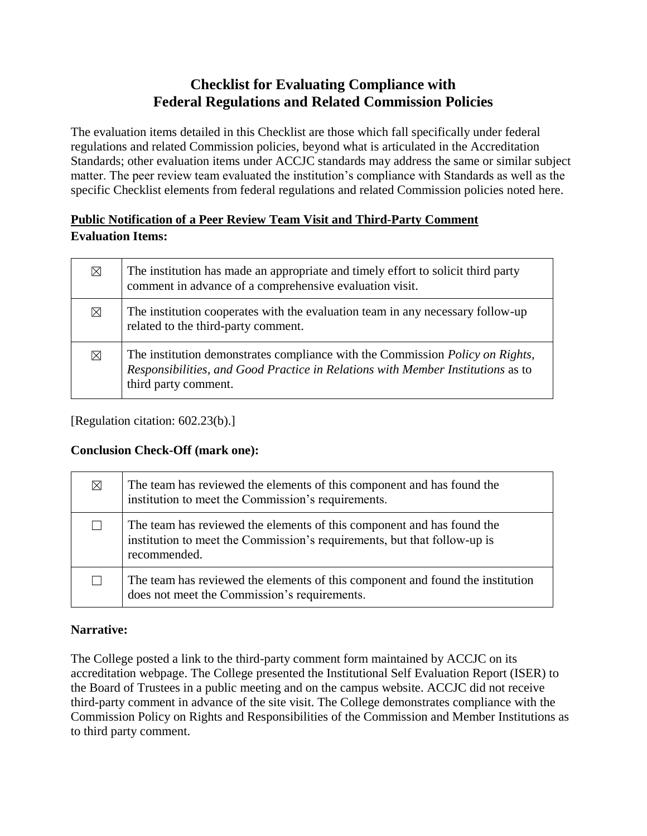# **Checklist for Evaluating Compliance with Federal Regulations and Related Commission Policies**

<span id="page-11-0"></span>The evaluation items detailed in this Checklist are those which fall specifically under federal regulations and related Commission policies, beyond what is articulated in the Accreditation Standards; other evaluation items under ACCJC standards may address the same or similar subject matter. The peer review team evaluated the institution's compliance with Standards as well as the specific Checklist elements from federal regulations and related Commission policies noted here.

# <span id="page-11-1"></span>**Public Notification of a Peer Review Team Visit and Third-Party Comment Evaluation Items:**

| $\boxtimes$ | The institution has made an appropriate and timely effort to solicit third party<br>comment in advance of a comprehensive evaluation visit.                                                      |
|-------------|--------------------------------------------------------------------------------------------------------------------------------------------------------------------------------------------------|
| $\boxtimes$ | The institution cooperates with the evaluation team in any necessary follow-up<br>related to the third-party comment.                                                                            |
| $\boxtimes$ | The institution demonstrates compliance with the Commission <i>Policy on Rights</i> ,<br>Responsibilities, and Good Practice in Relations with Member Institutions as to<br>third party comment. |

[Regulation citation: 602.23(b).]

# **Conclusion Check-Off (mark one):**

| $\boxtimes$ | The team has reviewed the elements of this component and has found the<br>institution to meet the Commission's requirements.                                       |
|-------------|--------------------------------------------------------------------------------------------------------------------------------------------------------------------|
|             | The team has reviewed the elements of this component and has found the<br>institution to meet the Commission's requirements, but that follow-up is<br>recommended. |
|             | The team has reviewed the elements of this component and found the institution<br>does not meet the Commission's requirements.                                     |

# **Narrative:**

<span id="page-11-2"></span>The College posted a link to the third-party comment form maintained by ACCJC on its accreditation webpage. The College presented the Institutional Self Evaluation Report (ISER) to the Board of Trustees in a public meeting and on the campus website. ACCJC did not receive third-party comment in advance of the site visit. The College demonstrates compliance with the Commission Policy on Rights and Responsibilities of the Commission and Member Institutions as to third party comment.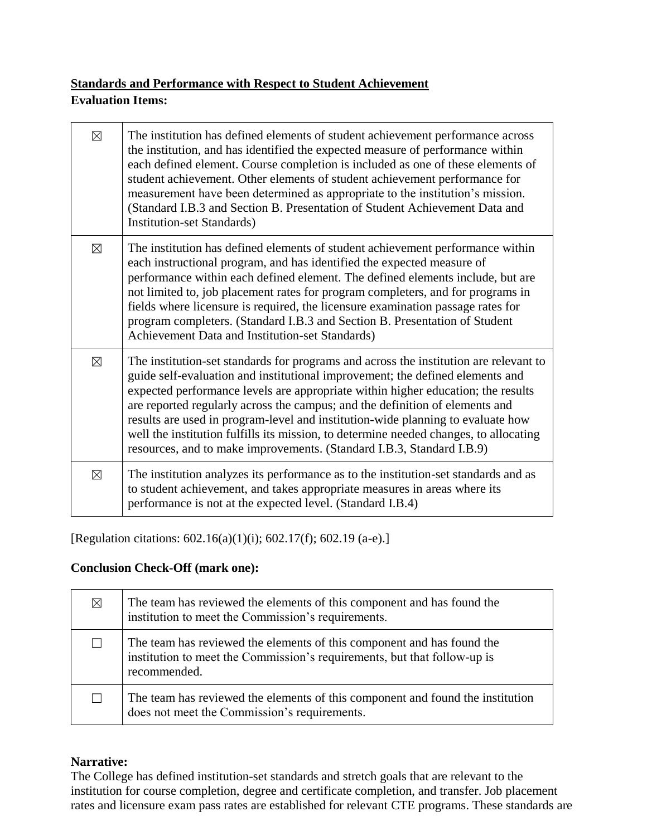# **Standards and Performance with Respect to Student Achievement Evaluation Items:**

| $\boxtimes$ | The institution has defined elements of student achievement performance across<br>the institution, and has identified the expected measure of performance within<br>each defined element. Course completion is included as one of these elements of<br>student achievement. Other elements of student achievement performance for<br>measurement have been determined as appropriate to the institution's mission.<br>(Standard I.B.3 and Section B. Presentation of Student Achievement Data and<br><b>Institution-set Standards)</b>                                                          |
|-------------|-------------------------------------------------------------------------------------------------------------------------------------------------------------------------------------------------------------------------------------------------------------------------------------------------------------------------------------------------------------------------------------------------------------------------------------------------------------------------------------------------------------------------------------------------------------------------------------------------|
| $\boxtimes$ | The institution has defined elements of student achievement performance within<br>each instructional program, and has identified the expected measure of<br>performance within each defined element. The defined elements include, but are<br>not limited to, job placement rates for program completers, and for programs in<br>fields where licensure is required, the licensure examination passage rates for<br>program completers. (Standard I.B.3 and Section B. Presentation of Student<br>Achievement Data and Institution-set Standards)                                               |
| $\boxtimes$ | The institution-set standards for programs and across the institution are relevant to<br>guide self-evaluation and institutional improvement; the defined elements and<br>expected performance levels are appropriate within higher education; the results<br>are reported regularly across the campus; and the definition of elements and<br>results are used in program-level and institution-wide planning to evaluate how<br>well the institution fulfills its mission, to determine needed changes, to allocating<br>resources, and to make improvements. (Standard I.B.3, Standard I.B.9) |
| $\boxtimes$ | The institution analyzes its performance as to the institution-set standards and as<br>to student achievement, and takes appropriate measures in areas where its<br>performance is not at the expected level. (Standard I.B.4)                                                                                                                                                                                                                                                                                                                                                                  |

[Regulation citations: 602.16(a)(1)(i); 602.17(f); 602.19 (a-e).]

# **Conclusion Check-Off (mark one):**

| $\boxtimes$ | The team has reviewed the elements of this component and has found the<br>institution to meet the Commission's requirements.                                       |
|-------------|--------------------------------------------------------------------------------------------------------------------------------------------------------------------|
|             | The team has reviewed the elements of this component and has found the<br>institution to meet the Commission's requirements, but that follow-up is<br>recommended. |
|             | The team has reviewed the elements of this component and found the institution<br>does not meet the Commission's requirements.                                     |

# **Narrative:**

The College has defined institution-set standards and stretch goals that are relevant to the institution for course completion, degree and certificate completion, and transfer. Job placement rates and licensure exam pass rates are established for relevant CTE programs. These standards are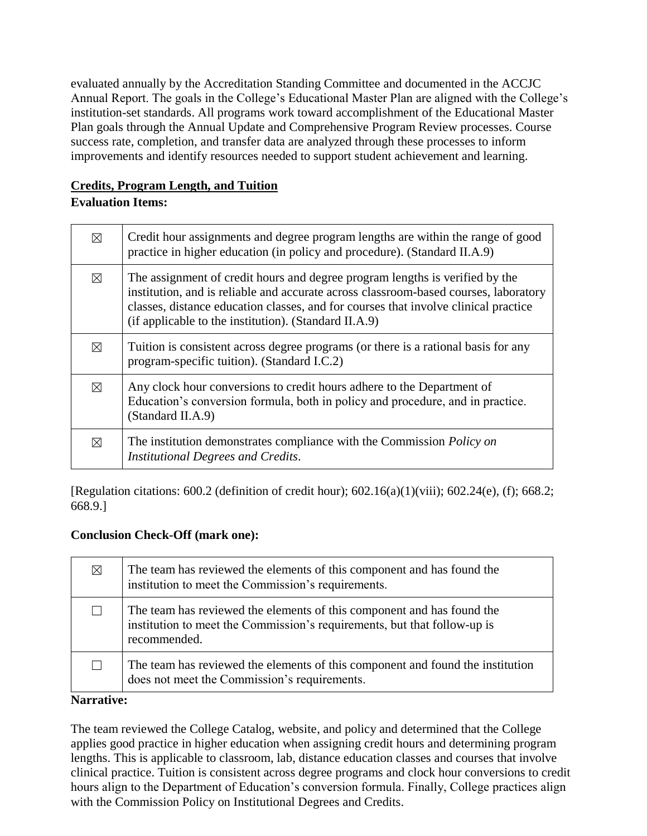evaluated annually by the Accreditation Standing Committee and documented in the ACCJC Annual Report. The goals in the College's Educational Master Plan are aligned with the College's institution-set standards. All programs work toward accomplishment of the Educational Master Plan goals through the Annual Update and Comprehensive Program Review processes. Course success rate, completion, and transfer data are analyzed through these processes to inform improvements and identify resources needed to support student achievement and learning.

# <span id="page-13-0"></span>**Credits, Program Length, and Tuition**

# **Evaluation Items:**

| ⊠        | Credit hour assignments and degree program lengths are within the range of good<br>practice in higher education (in policy and procedure). (Standard II.A.9)                                                                                                                                                         |
|----------|----------------------------------------------------------------------------------------------------------------------------------------------------------------------------------------------------------------------------------------------------------------------------------------------------------------------|
| ⊠        | The assignment of credit hours and degree program lengths is verified by the<br>institution, and is reliable and accurate across classroom-based courses, laboratory<br>classes, distance education classes, and for courses that involve clinical practice<br>(if applicable to the institution). (Standard II.A.9) |
| ⊠        | Tuition is consistent across degree programs (or there is a rational basis for any<br>program-specific tuition). (Standard I.C.2)                                                                                                                                                                                    |
| $\times$ | Any clock hour conversions to credit hours adhere to the Department of<br>Education's conversion formula, both in policy and procedure, and in practice.<br>(Standard II.A.9)                                                                                                                                        |
| ⊠        | The institution demonstrates compliance with the Commission Policy on<br><b>Institutional Degrees and Credits.</b>                                                                                                                                                                                                   |

[Regulation citations: 600.2 (definition of credit hour); 602.16(a)(1)(viii); 602.24(e), (f); 668.2; 668.9.]

# **Conclusion Check-Off (mark one):**

| $\boxtimes$ | The team has reviewed the elements of this component and has found the<br>institution to meet the Commission's requirements.                                       |
|-------------|--------------------------------------------------------------------------------------------------------------------------------------------------------------------|
|             | The team has reviewed the elements of this component and has found the<br>institution to meet the Commission's requirements, but that follow-up is<br>recommended. |
|             | The team has reviewed the elements of this component and found the institution<br>does not meet the Commission's requirements.                                     |

#### **Narrative:**

The team reviewed the College Catalog, website, and policy and determined that the College applies good practice in higher education when assigning credit hours and determining program lengths. This is applicable to classroom, lab, distance education classes and courses that involve clinical practice. Tuition is consistent across degree programs and clock hour conversions to credit hours align to the Department of Education's conversion formula. Finally, College practices align with the Commission Policy on Institutional Degrees and Credits.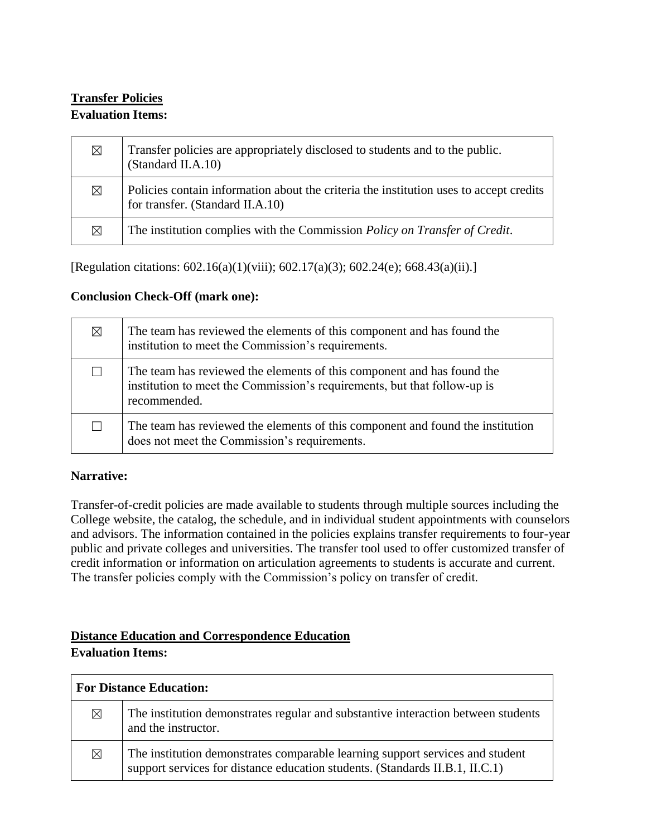# <span id="page-14-0"></span>**Transfer Policies Evaluation Items:**

| $\boxtimes$ | Transfer policies are appropriately disclosed to students and to the public.<br>(Standard II.A.10)                         |
|-------------|----------------------------------------------------------------------------------------------------------------------------|
| $\boxtimes$ | Policies contain information about the criteria the institution uses to accept credits<br>for transfer. (Standard II.A.10) |
| $\boxtimes$ | The institution complies with the Commission Policy on Transfer of Credit.                                                 |

[Regulation citations: 602.16(a)(1)(viii); 602.17(a)(3); 602.24(e); 668.43(a)(ii).]

#### **Conclusion Check-Off (mark one):**

| $\boxtimes$ | The team has reviewed the elements of this component and has found the<br>institution to meet the Commission's requirements.                                       |
|-------------|--------------------------------------------------------------------------------------------------------------------------------------------------------------------|
| H           | The team has reviewed the elements of this component and has found the<br>institution to meet the Commission's requirements, but that follow-up is<br>recommended. |
|             | The team has reviewed the elements of this component and found the institution<br>does not meet the Commission's requirements.                                     |

#### **Narrative:**

Transfer-of-credit policies are made available to students through multiple sources including the College website, the catalog, the schedule, and in individual student appointments with counselors and advisors. The information contained in the policies explains transfer requirements to four-year public and private colleges and universities. The transfer tool used to offer customized transfer of credit information or information on articulation agreements to students is accurate and current. The transfer policies comply with the Commission's policy on transfer of credit.

# <span id="page-14-1"></span>**Distance Education and Correspondence Education Evaluation Items:**

| <b>For Distance Education:</b> |                                                                                                                                                               |
|--------------------------------|---------------------------------------------------------------------------------------------------------------------------------------------------------------|
| $\boxtimes$                    | The institution demonstrates regular and substantive interaction between students<br>and the instructor.                                                      |
| ⊠                              | The institution demonstrates comparable learning support services and student<br>support services for distance education students. (Standards II.B.1, II.C.1) |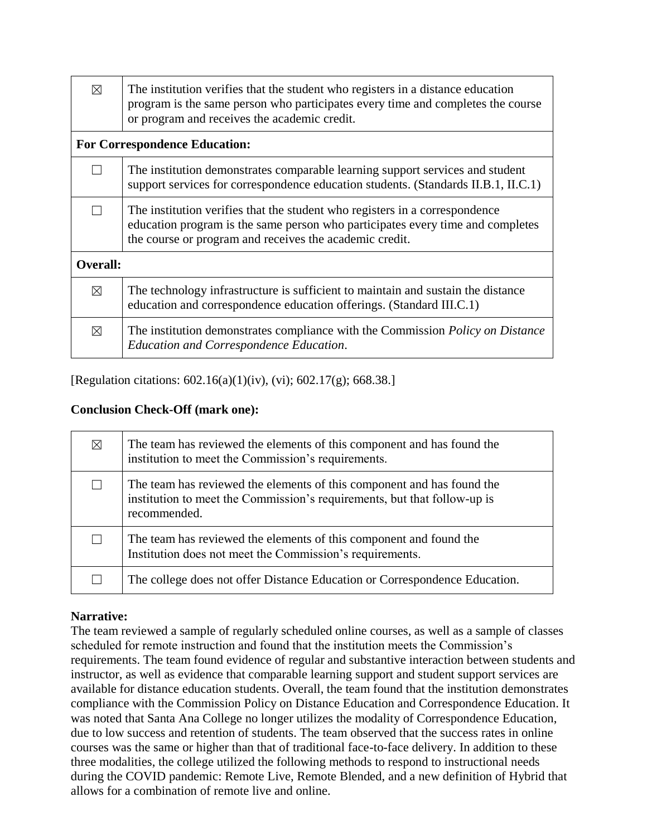| ⊠        | The institution verifies that the student who registers in a distance education<br>program is the same person who participates every time and completes the course<br>or program and receives the academic credit.       |
|----------|--------------------------------------------------------------------------------------------------------------------------------------------------------------------------------------------------------------------------|
|          | <b>For Correspondence Education:</b>                                                                                                                                                                                     |
|          | The institution demonstrates comparable learning support services and student<br>support services for correspondence education students. (Standards II.B.1, II.C.1)                                                      |
|          | The institution verifies that the student who registers in a correspondence<br>education program is the same person who participates every time and completes<br>the course or program and receives the academic credit. |
| Overall: |                                                                                                                                                                                                                          |
| $\times$ | The technology infrastructure is sufficient to maintain and sustain the distance<br>education and correspondence education offerings. (Standard III.C.1)                                                                 |
| ⊠        | The institution demonstrates compliance with the Commission Policy on Distance<br>Education and Correspondence Education.                                                                                                |

[Regulation citations:  $602.16(a)(1)(iv)$ ,  $(vi)$ ;  $602.17(g)$ ;  $668.38$ .]

#### **Conclusion Check-Off (mark one):**

| $\boxtimes$ | The team has reviewed the elements of this component and has found the<br>institution to meet the Commission's requirements.                                       |
|-------------|--------------------------------------------------------------------------------------------------------------------------------------------------------------------|
|             | The team has reviewed the elements of this component and has found the<br>institution to meet the Commission's requirements, but that follow-up is<br>recommended. |
|             | The team has reviewed the elements of this component and found the<br>Institution does not meet the Commission's requirements.                                     |
|             | The college does not offer Distance Education or Correspondence Education.                                                                                         |

#### **Narrative:**

The team reviewed a sample of regularly scheduled online courses, as well as a sample of classes scheduled for remote instruction and found that the institution meets the Commission's requirements. The team found evidence of regular and substantive interaction between students and instructor, as well as evidence that comparable learning support and student support services are available for distance education students. Overall, the team found that the institution demonstrates compliance with the Commission Policy on Distance Education and Correspondence Education. It was noted that Santa Ana College no longer utilizes the modality of Correspondence Education, due to low success and retention of students. The team observed that the success rates in online courses was the same or higher than that of traditional face-to-face delivery. In addition to these three modalities, the college utilized the following methods to respond to instructional needs during the COVID pandemic: Remote Live, Remote Blended, and a new definition of Hybrid that allows for a combination of remote live and online.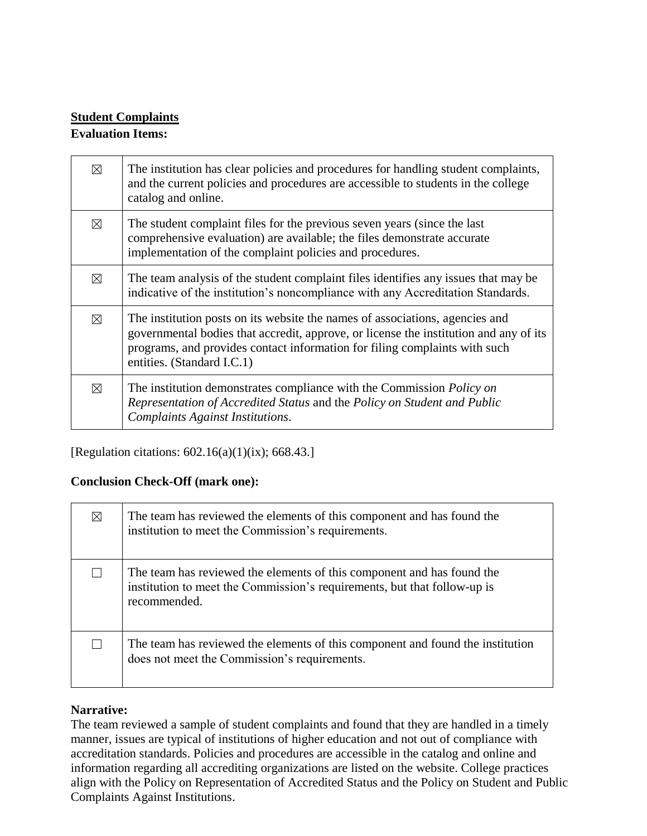# <span id="page-16-0"></span>**Student Complaints**

#### **Evaluation Items:**

| $\times$    | The institution has clear policies and procedures for handling student complaints,<br>and the current policies and procedures are accessible to students in the college<br>catalog and online.                                                                                    |
|-------------|-----------------------------------------------------------------------------------------------------------------------------------------------------------------------------------------------------------------------------------------------------------------------------------|
| $\boxtimes$ | The student complaint files for the previous seven years (since the last<br>comprehensive evaluation) are available; the files demonstrate accurate<br>implementation of the complaint policies and procedures.                                                                   |
| $\boxtimes$ | The team analysis of the student complaint files identifies any issues that may be<br>indicative of the institution's noncompliance with any Accreditation Standards.                                                                                                             |
| $\times$    | The institution posts on its website the names of associations, agencies and<br>governmental bodies that accredit, approve, or license the institution and any of its<br>programs, and provides contact information for filing complaints with such<br>entities. (Standard I.C.1) |
| $\boxtimes$ | The institution demonstrates compliance with the Commission <i>Policy on</i><br>Representation of Accredited Status and the Policy on Student and Public<br>Complaints Against Institutions.                                                                                      |

[Regulation citations: 602.16(a)(1)(ix); 668.43.]

#### **Conclusion Check-Off (mark one):**

| ⊠ | The team has reviewed the elements of this component and has found the<br>institution to meet the Commission's requirements.                                       |
|---|--------------------------------------------------------------------------------------------------------------------------------------------------------------------|
|   | The team has reviewed the elements of this component and has found the<br>institution to meet the Commission's requirements, but that follow-up is<br>recommended. |
|   | The team has reviewed the elements of this component and found the institution<br>does not meet the Commission's requirements.                                     |

#### **Narrative:**

The team reviewed a sample of student complaints and found that they are handled in a timely manner, issues are typical of institutions of higher education and not out of compliance with accreditation standards. Policies and procedures are accessible in the catalog and online and information regarding all accrediting organizations are listed on the website. College practices align with the Policy on Representation of Accredited Status and the Policy on Student and Public Complaints Against Institutions.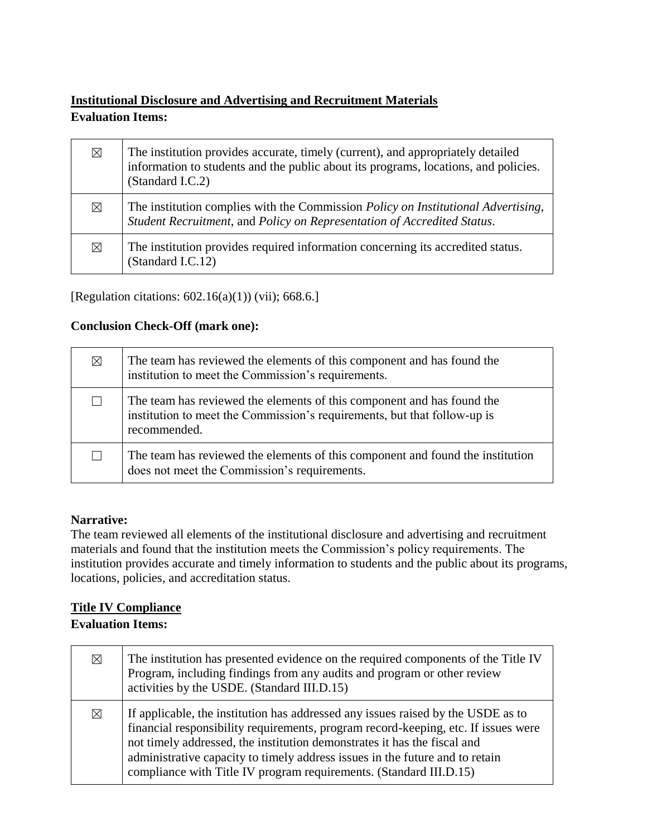# <span id="page-17-0"></span>**Institutional Disclosure and Advertising and Recruitment Materials Evaluation Items:**

| $\boxtimes$ | The institution provides accurate, timely (current), and appropriately detailed<br>information to students and the public about its programs, locations, and policies.<br>(Standard I.C.2) |
|-------------|--------------------------------------------------------------------------------------------------------------------------------------------------------------------------------------------|
| ⊠           | The institution complies with the Commission Policy on Institutional Advertising,<br>Student Recruitment, and Policy on Representation of Accredited Status.                               |
| $\boxtimes$ | The institution provides required information concerning its accredited status.<br>(Standard I.C.12)                                                                                       |

[Regulation citations: 602.16(a)(1)) (vii); 668.6.]

#### **Conclusion Check-Off (mark one):**

| $\boxtimes$ | The team has reviewed the elements of this component and has found the<br>institution to meet the Commission's requirements.                                       |
|-------------|--------------------------------------------------------------------------------------------------------------------------------------------------------------------|
|             | The team has reviewed the elements of this component and has found the<br>institution to meet the Commission's requirements, but that follow-up is<br>recommended. |
|             | The team has reviewed the elements of this component and found the institution<br>does not meet the Commission's requirements.                                     |

#### **Narrative:**

The team reviewed all elements of the institutional disclosure and advertising and recruitment materials and found that the institution meets the Commission's policy requirements. The institution provides accurate and timely information to students and the public about its programs, locations, policies, and accreditation status.

# <span id="page-17-1"></span>**Title IV Compliance**

### **Evaluation Items:**

| $\boxtimes$ | The institution has presented evidence on the required components of the Title IV<br>Program, including findings from any audits and program or other review<br>activities by the USDE. (Standard III.D.15)                                                                                                                                                                                              |
|-------------|----------------------------------------------------------------------------------------------------------------------------------------------------------------------------------------------------------------------------------------------------------------------------------------------------------------------------------------------------------------------------------------------------------|
| $\boxtimes$ | If applicable, the institution has addressed any issues raised by the USDE as to<br>financial responsibility requirements, program record-keeping, etc. If issues were<br>not timely addressed, the institution demonstrates it has the fiscal and<br>administrative capacity to timely address issues in the future and to retain<br>compliance with Title IV program requirements. (Standard III.D.15) |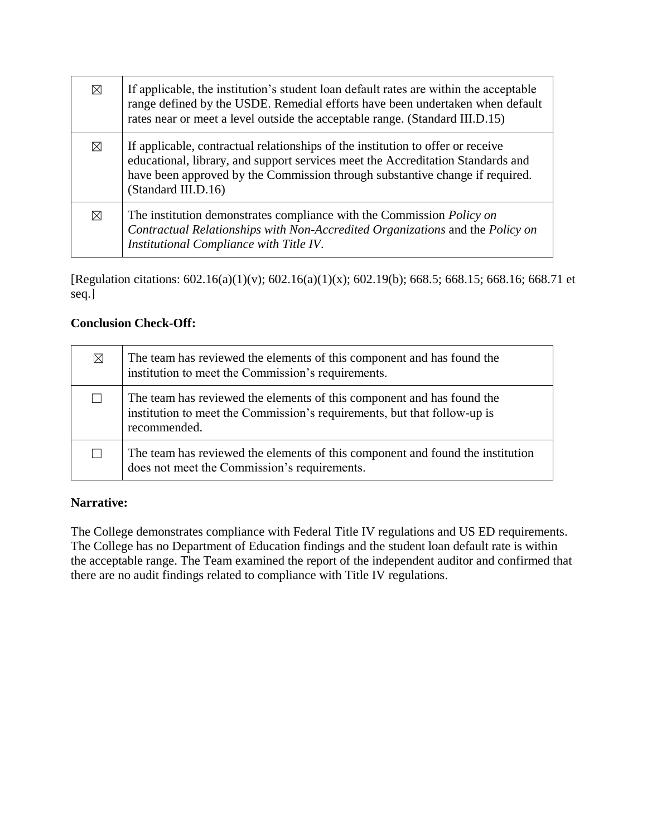| ⊠           | If applicable, the institution's student loan default rates are within the acceptable<br>range defined by the USDE. Remedial efforts have been undertaken when default<br>rates near or meet a level outside the acceptable range. (Standard III.D.15)                    |
|-------------|---------------------------------------------------------------------------------------------------------------------------------------------------------------------------------------------------------------------------------------------------------------------------|
| $\boxtimes$ | If applicable, contractual relationships of the institution to offer or receive<br>educational, library, and support services meet the Accreditation Standards and<br>have been approved by the Commission through substantive change if required.<br>(Standard III.D.16) |
| $\boxtimes$ | The institution demonstrates compliance with the Commission <i>Policy on</i><br>Contractual Relationships with Non-Accredited Organizations and the Policy on<br>Institutional Compliance with Title IV.                                                                  |

[Regulation citations: 602.16(a)(1)(v); 602.16(a)(1)(x); 602.19(b); 668.5; 668.15; 668.16; 668.71 et seq.]

#### **Conclusion Check-Off:**

| ⊠ | The team has reviewed the elements of this component and has found the<br>institution to meet the Commission's requirements.                                       |
|---|--------------------------------------------------------------------------------------------------------------------------------------------------------------------|
|   | The team has reviewed the elements of this component and has found the<br>institution to meet the Commission's requirements, but that follow-up is<br>recommended. |
|   | The team has reviewed the elements of this component and found the institution<br>does not meet the Commission's requirements.                                     |

#### **Narrative:**

The College demonstrates compliance with Federal Title IV regulations and US ED requirements. The College has no Department of Education findings and the student loan default rate is within the acceptable range. The Team examined the report of the independent auditor and confirmed that there are no audit findings related to compliance with Title IV regulations.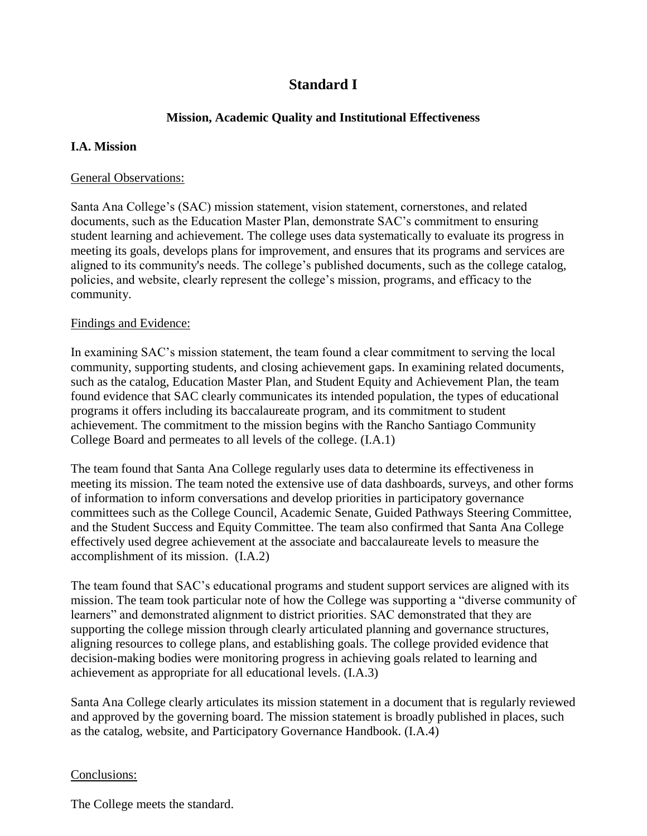# **Standard I**

### **Mission, Academic Quality and Institutional Effectiveness**

### <span id="page-19-1"></span><span id="page-19-0"></span>**I.A. Mission**

#### General Observations:

Santa Ana College's (SAC) mission statement, vision statement, cornerstones, and related documents, such as the Education Master Plan, demonstrate SAC's commitment to ensuring student learning and achievement. The college uses data systematically to evaluate its progress in meeting its goals, develops plans for improvement, and ensures that its programs and services are aligned to its community's needs. The college's published documents, such as the college catalog, policies, and website, clearly represent the college's mission, programs, and efficacy to the community.

#### Findings and Evidence:

In examining SAC's mission statement, the team found a clear commitment to serving the local community, supporting students, and closing achievement gaps. In examining related documents, such as the catalog, Education Master Plan, and Student Equity and Achievement Plan, the team found evidence that SAC clearly communicates its intended population, the types of educational programs it offers including its baccalaureate program, and its commitment to student achievement. The commitment to the mission begins with the Rancho Santiago Community College Board and permeates to all levels of the college. (I.A.1)

The team found that Santa Ana College regularly uses data to determine its effectiveness in meeting its mission. The team noted the extensive use of data dashboards, surveys, and other forms of information to inform conversations and develop priorities in participatory governance committees such as the College Council, Academic Senate, Guided Pathways Steering Committee, and the Student Success and Equity Committee. The team also confirmed that Santa Ana College effectively used degree achievement at the associate and baccalaureate levels to measure the accomplishment of its mission. (I.A.2)

The team found that SAC's educational programs and student support services are aligned with its mission. The team took particular note of how the College was supporting a "diverse community of learners" and demonstrated alignment to district priorities. SAC demonstrated that they are supporting the college mission through clearly articulated planning and governance structures, aligning resources to college plans, and establishing goals. The college provided evidence that decision-making bodies were monitoring progress in achieving goals related to learning and achievement as appropriate for all educational levels. (I.A.3)

Santa Ana College clearly articulates its mission statement in a document that is regularly reviewed and approved by the governing board. The mission statement is broadly published in places, such as the catalog, website, and Participatory Governance Handbook. (I.A.4)

#### Conclusions:

The College meets the standard.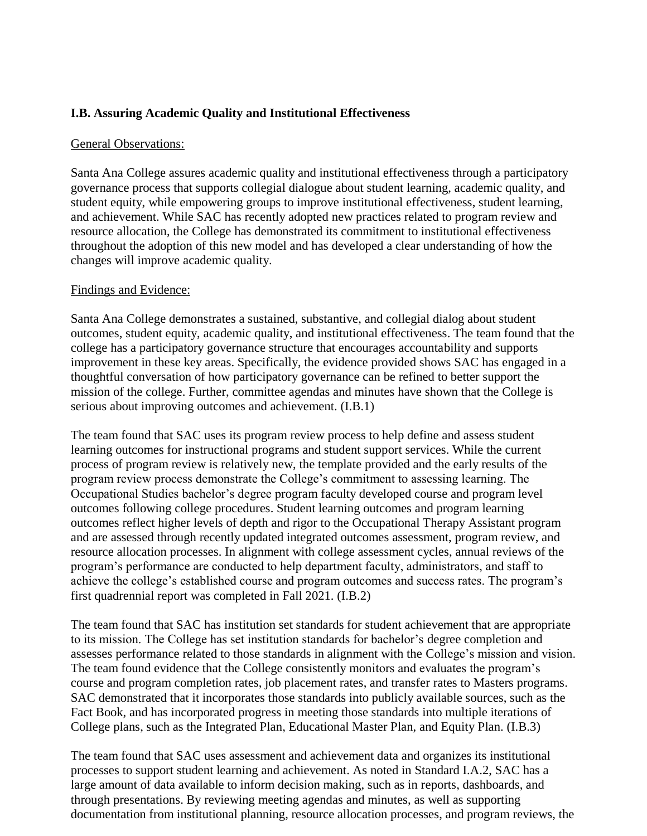### <span id="page-20-0"></span>**I.B. Assuring Academic Quality and Institutional Effectiveness**

#### General Observations:

Santa Ana College assures academic quality and institutional effectiveness through a participatory governance process that supports collegial dialogue about student learning, academic quality, and student equity, while empowering groups to improve institutional effectiveness, student learning, and achievement. While SAC has recently adopted new practices related to program review and resource allocation, the College has demonstrated its commitment to institutional effectiveness throughout the adoption of this new model and has developed a clear understanding of how the changes will improve academic quality.

#### Findings and Evidence:

Santa Ana College demonstrates a sustained, substantive, and collegial dialog about student outcomes, student equity, academic quality, and institutional effectiveness. The team found that the college has a participatory governance structure that encourages accountability and supports improvement in these key areas. Specifically, the evidence provided shows SAC has engaged in a thoughtful conversation of how participatory governance can be refined to better support the mission of the college. Further, committee agendas and minutes have shown that the College is serious about improving outcomes and achievement. (I.B.1)

The team found that SAC uses its program review process to help define and assess student learning outcomes for instructional programs and student support services. While the current process of program review is relatively new, the template provided and the early results of the program review process demonstrate the College's commitment to assessing learning. The Occupational Studies bachelor's degree program faculty developed course and program level outcomes following college procedures. Student learning outcomes and program learning outcomes reflect higher levels of depth and rigor to the Occupational Therapy Assistant program and are assessed through recently updated integrated outcomes assessment, program review, and resource allocation processes. In alignment with college assessment cycles, annual reviews of the program's performance are conducted to help department faculty, administrators, and staff to achieve the college's established course and program outcomes and success rates. The program's first quadrennial report was completed in Fall 2021. (I.B.2)

The team found that SAC has institution set standards for student achievement that are appropriate to its mission. The College has set institution standards for bachelor's degree completion and assesses performance related to those standards in alignment with the College's mission and vision. The team found evidence that the College consistently monitors and evaluates the program's course and program completion rates, job placement rates, and transfer rates to Masters programs. SAC demonstrated that it incorporates those standards into publicly available sources, such as the Fact Book, and has incorporated progress in meeting those standards into multiple iterations of College plans, such as the Integrated Plan, Educational Master Plan, and Equity Plan. (I.B.3)

The team found that SAC uses assessment and achievement data and organizes its institutional processes to support student learning and achievement. As noted in Standard I.A.2, SAC has a large amount of data available to inform decision making, such as in reports, dashboards, and through presentations. By reviewing meeting agendas and minutes, as well as supporting documentation from institutional planning, resource allocation processes, and program reviews, the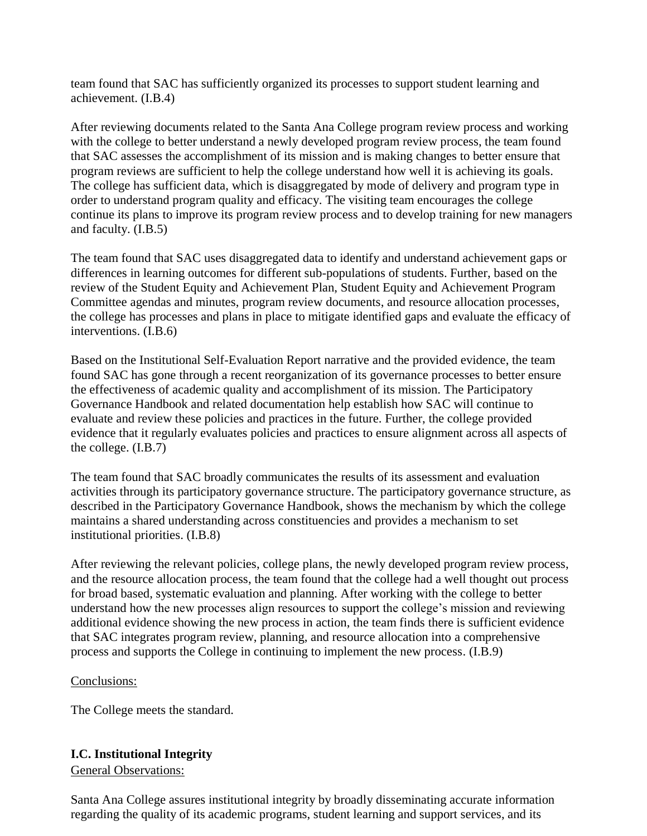team found that SAC has sufficiently organized its processes to support student learning and achievement. (I.B.4)

After reviewing documents related to the Santa Ana College program review process and working with the college to better understand a newly developed program review process, the team found that SAC assesses the accomplishment of its mission and is making changes to better ensure that program reviews are sufficient to help the college understand how well it is achieving its goals. The college has sufficient data, which is disaggregated by mode of delivery and program type in order to understand program quality and efficacy. The visiting team encourages the college continue its plans to improve its program review process and to develop training for new managers and faculty. (I.B.5)

The team found that SAC uses disaggregated data to identify and understand achievement gaps or differences in learning outcomes for different sub-populations of students. Further, based on the review of the Student Equity and Achievement Plan, Student Equity and Achievement Program Committee agendas and minutes, program review documents, and resource allocation processes, the college has processes and plans in place to mitigate identified gaps and evaluate the efficacy of interventions. (I.B.6)

Based on the Institutional Self-Evaluation Report narrative and the provided evidence, the team found SAC has gone through a recent reorganization of its governance processes to better ensure the effectiveness of academic quality and accomplishment of its mission. The Participatory Governance Handbook and related documentation help establish how SAC will continue to evaluate and review these policies and practices in the future. Further, the college provided evidence that it regularly evaluates policies and practices to ensure alignment across all aspects of the college. (I.B.7)

The team found that SAC broadly communicates the results of its assessment and evaluation activities through its participatory governance structure. The participatory governance structure, as described in the Participatory Governance Handbook, shows the mechanism by which the college maintains a shared understanding across constituencies and provides a mechanism to set institutional priorities. (I.B.8)

After reviewing the relevant policies, college plans, the newly developed program review process, and the resource allocation process, the team found that the college had a well thought out process for broad based, systematic evaluation and planning. After working with the college to better understand how the new processes align resources to support the college's mission and reviewing additional evidence showing the new process in action, the team finds there is sufficient evidence that SAC integrates program review, planning, and resource allocation into a comprehensive process and supports the College in continuing to implement the new process. (I.B.9)

#### Conclusions:

The College meets the standard.

# <span id="page-21-0"></span>**I.C. Institutional Integrity**

General Observations:

Santa Ana College assures institutional integrity by broadly disseminating accurate information regarding the quality of its academic programs, student learning and support services, and its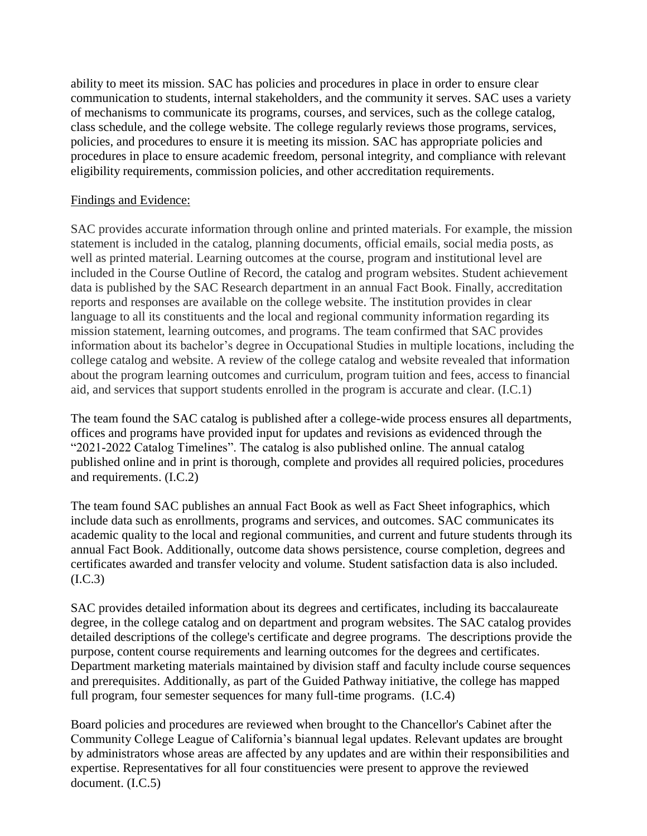ability to meet its mission. SAC has policies and procedures in place in order to ensure clear communication to students, internal stakeholders, and the community it serves. SAC uses a variety of mechanisms to communicate its programs, courses, and services, such as the college catalog, class schedule, and the college website. The college regularly reviews those programs, services, policies, and procedures to ensure it is meeting its mission. SAC has appropriate policies and procedures in place to ensure academic freedom, personal integrity, and compliance with relevant eligibility requirements, commission policies, and other accreditation requirements.

#### Findings and Evidence:

SAC provides accurate information through online and printed materials. For example, the mission statement is included in the catalog, planning documents, official emails, social media posts, as well as printed material. Learning outcomes at the course, program and institutional level are included in the Course Outline of Record, the catalog and program websites. Student achievement data is published by the SAC Research department in an annual Fact Book. Finally, accreditation reports and responses are available on the college website. The institution provides in clear language to all its constituents and the local and regional community information regarding its mission statement, learning outcomes, and programs. The team confirmed that SAC provides information about its bachelor's degree in Occupational Studies in multiple locations, including the college catalog and website. A review of the college catalog and website revealed that information about the program learning outcomes and curriculum, program tuition and fees, access to financial aid, and services that support students enrolled in the program is accurate and clear. (I.C.1)

The team found the SAC catalog is published after a college-wide process ensures all departments, offices and programs have provided input for updates and revisions as evidenced through the "2021-2022 Catalog Timelines". The catalog is also published online. The annual catalog published online and in print is thorough, complete and provides all required policies, procedures and requirements. (I.C.2)

The team found SAC publishes an annual Fact Book as well as Fact Sheet infographics, which include data such as enrollments, programs and services, and outcomes. SAC communicates its academic quality to the local and regional communities, and current and future students through its annual Fact Book. Additionally, outcome data shows persistence, course completion, degrees and certificates awarded and transfer velocity and volume. Student satisfaction data is also included.  $(I.C.3)$ 

SAC provides detailed information about its degrees and certificates, including its baccalaureate degree, in the college catalog and on department and program websites. The SAC catalog provides detailed descriptions of the college's certificate and degree programs. The descriptions provide the purpose, content course requirements and learning outcomes for the degrees and certificates. Department marketing materials maintained by division staff and faculty include course sequences and prerequisites. Additionally, as part of the Guided Pathway initiative, the college has mapped full program, four semester sequences for many full-time programs. (I.C.4)

Board policies and procedures are reviewed when brought to the Chancellor's Cabinet after the Community College League of California's biannual legal updates. Relevant updates are brought by administrators whose areas are affected by any updates and are within their responsibilities and expertise. Representatives for all four constituencies were present to approve the reviewed document. (I.C.5)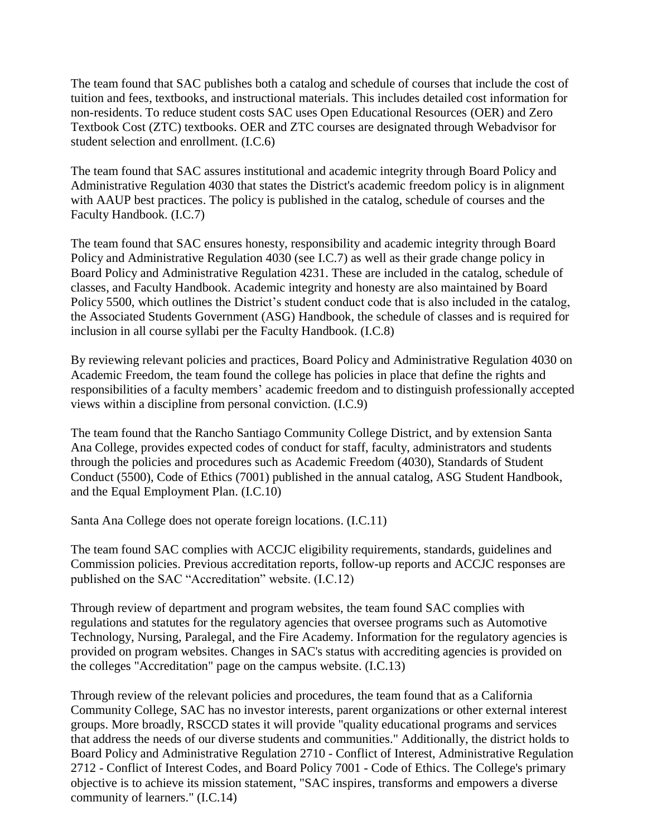The team found that SAC publishes both a catalog and schedule of courses that include the cost of tuition and fees, textbooks, and instructional materials. This includes detailed cost information for non-residents. To reduce student costs SAC uses Open Educational Resources (OER) and Zero Textbook Cost (ZTC) textbooks. OER and ZTC courses are designated through Webadvisor for student selection and enrollment. (I.C.6)

The team found that SAC assures institutional and academic integrity through Board Policy and Administrative Regulation 4030 that states the District's academic freedom policy is in alignment with AAUP best practices. The policy is published in the catalog, schedule of courses and the Faculty Handbook. (I.C.7)

The team found that SAC ensures honesty, responsibility and academic integrity through Board Policy and Administrative Regulation 4030 (see I.C.7) as well as their grade change policy in Board Policy and Administrative Regulation 4231. These are included in the catalog, schedule of classes, and Faculty Handbook. Academic integrity and honesty are also maintained by Board Policy 5500, which outlines the District's student conduct code that is also included in the catalog, the Associated Students Government (ASG) Handbook, the schedule of classes and is required for inclusion in all course syllabi per the Faculty Handbook. (I.C.8)

By reviewing relevant policies and practices, Board Policy and Administrative Regulation 4030 on Academic Freedom, the team found the college has policies in place that define the rights and responsibilities of a faculty members' academic freedom and to distinguish professionally accepted views within a discipline from personal conviction. (I.C.9)

The team found that the Rancho Santiago Community College District, and by extension Santa Ana College, provides expected codes of conduct for staff, faculty, administrators and students through the policies and procedures such as Academic Freedom (4030), Standards of Student Conduct (5500), Code of Ethics (7001) published in the annual catalog, ASG Student Handbook, and the Equal Employment Plan. (I.C.10)

Santa Ana College does not operate foreign locations. (I.C.11)

The team found SAC complies with ACCJC eligibility requirements, standards, guidelines and Commission policies. Previous accreditation reports, follow-up reports and ACCJC responses are published on the SAC "Accreditation" website. (I.C.12)

Through review of department and program websites, the team found SAC complies with regulations and statutes for the regulatory agencies that oversee programs such as Automotive Technology, Nursing, Paralegal, and the Fire Academy. Information for the regulatory agencies is provided on program websites. Changes in SAC's status with accrediting agencies is provided on the colleges "Accreditation" page on the campus website. (I.C.13)

Through review of the relevant policies and procedures, the team found that as a California Community College, SAC has no investor interests, parent organizations or other external interest groups. More broadly, RSCCD states it will provide "quality educational programs and services that address the needs of our diverse students and communities." Additionally, the district holds to Board Policy and Administrative Regulation 2710 - Conflict of Interest, Administrative Regulation 2712 - Conflict of Interest Codes, and Board Policy 7001 - Code of Ethics. The College's primary objective is to achieve its mission statement, "SAC inspires, transforms and empowers a diverse community of learners." (I.C.14)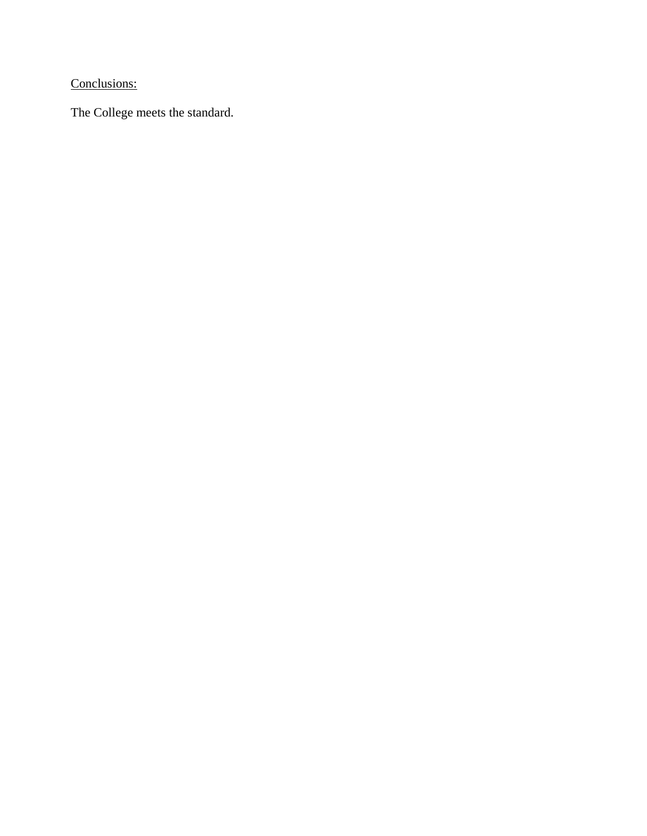Conclusions:

The College meets the standard.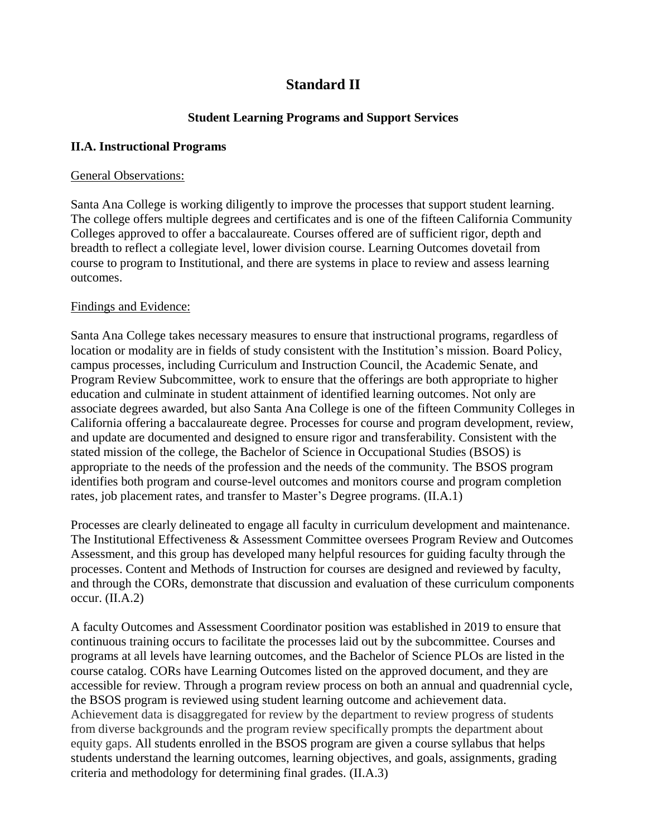# **Standard II**

#### **Student Learning Programs and Support Services**

#### <span id="page-25-0"></span>**II.A. Instructional Programs**

#### General Observations:

Santa Ana College is working diligently to improve the processes that support student learning. The college offers multiple degrees and certificates and is one of the fifteen California Community Colleges approved to offer a baccalaureate. Courses offered are of sufficient rigor, depth and breadth to reflect a collegiate level, lower division course. Learning Outcomes dovetail from course to program to Institutional, and there are systems in place to review and assess learning outcomes.

#### Findings and Evidence:

Santa Ana College takes necessary measures to ensure that instructional programs, regardless of location or modality are in fields of study consistent with the Institution's mission. Board Policy, campus processes, including Curriculum and Instruction Council, the Academic Senate, and Program Review Subcommittee, work to ensure that the offerings are both appropriate to higher education and culminate in student attainment of identified learning outcomes. Not only are associate degrees awarded, but also Santa Ana College is one of the fifteen Community Colleges in California offering a baccalaureate degree. Processes for course and program development, review, and update are documented and designed to ensure rigor and transferability. Consistent with the stated mission of the college, the Bachelor of Science in Occupational Studies (BSOS) is appropriate to the needs of the profession and the needs of the community. The BSOS program identifies both program and course-level outcomes and monitors course and program completion rates, job placement rates, and transfer to Master's Degree programs. (II.A.1)

Processes are clearly delineated to engage all faculty in curriculum development and maintenance. The Institutional Effectiveness & Assessment Committee oversees Program Review and Outcomes Assessment, and this group has developed many helpful resources for guiding faculty through the processes. Content and Methods of Instruction for courses are designed and reviewed by faculty, and through the CORs, demonstrate that discussion and evaluation of these curriculum components occur. (II.A.2)

A faculty Outcomes and Assessment Coordinator position was established in 2019 to ensure that continuous training occurs to facilitate the processes laid out by the subcommittee. Courses and programs at all levels have learning outcomes, and the Bachelor of Science PLOs are listed in the course catalog. CORs have Learning Outcomes listed on the approved document, and they are accessible for review. Through a program review process on both an annual and quadrennial cycle, the BSOS program is reviewed using student learning outcome and achievement data. Achievement data is disaggregated for review by the department to review progress of students from diverse backgrounds and the program review specifically prompts the department about equity gaps. All students enrolled in the BSOS program are given a course syllabus that helps students understand the learning outcomes, learning objectives, and goals, assignments, grading criteria and methodology for determining final grades. (II.A.3)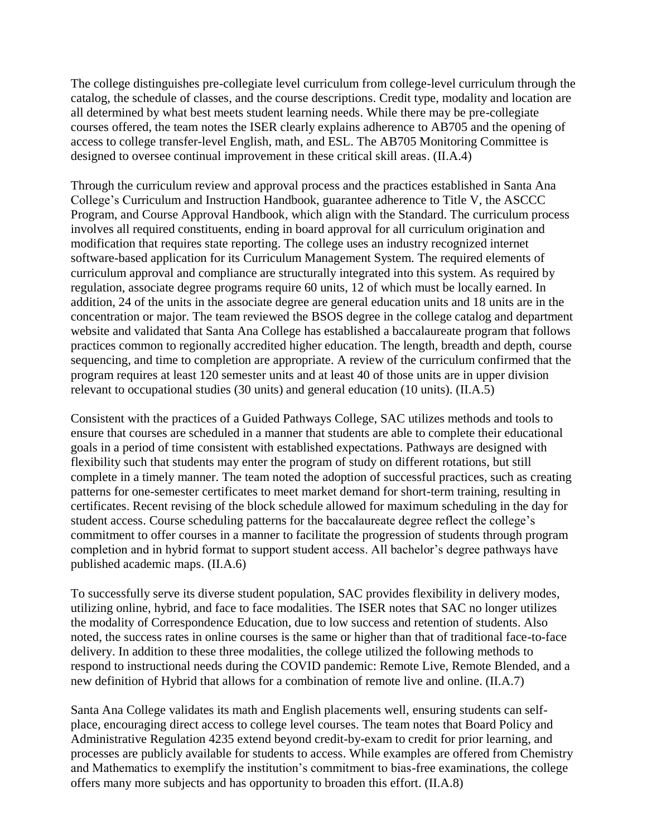The college distinguishes pre-collegiate level curriculum from college-level curriculum through the catalog, the schedule of classes, and the course descriptions. Credit type, modality and location are all determined by what best meets student learning needs. While there may be pre-collegiate courses offered, the team notes the ISER clearly explains adherence to AB705 and the opening of access to college transfer-level English, math, and ESL. The AB705 Monitoring Committee is designed to oversee continual improvement in these critical skill areas. (II.A.4)

Through the curriculum review and approval process and the practices established in Santa Ana College's Curriculum and Instruction Handbook, guarantee adherence to Title V, the ASCCC Program, and Course Approval Handbook, which align with the Standard. The curriculum process involves all required constituents, ending in board approval for all curriculum origination and modification that requires state reporting. The college uses an industry recognized internet software-based application for its Curriculum Management System. The required elements of curriculum approval and compliance are structurally integrated into this system. As required by regulation, associate degree programs require 60 units, 12 of which must be locally earned. In addition, 24 of the units in the associate degree are general education units and 18 units are in the concentration or major. The team reviewed the BSOS degree in the college catalog and department website and validated that Santa Ana College has established a baccalaureate program that follows practices common to regionally accredited higher education. The length, breadth and depth, course sequencing, and time to completion are appropriate. A review of the curriculum confirmed that the program requires at least 120 semester units and at least 40 of those units are in upper division relevant to occupational studies (30 units) and general education (10 units). (II.A.5)

Consistent with the practices of a Guided Pathways College, SAC utilizes methods and tools to ensure that courses are scheduled in a manner that students are able to complete their educational goals in a period of time consistent with established expectations. Pathways are designed with flexibility such that students may enter the program of study on different rotations, but still complete in a timely manner. The team noted the adoption of successful practices, such as creating patterns for one-semester certificates to meet market demand for short-term training, resulting in certificates. Recent revising of the block schedule allowed for maximum scheduling in the day for student access. Course scheduling patterns for the baccalaureate degree reflect the college's commitment to offer courses in a manner to facilitate the progression of students through program completion and in hybrid format to support student access. All bachelor's degree pathways have published academic maps. (II.A.6)

To successfully serve its diverse student population, SAC provides flexibility in delivery modes, utilizing online, hybrid, and face to face modalities. The ISER notes that SAC no longer utilizes the modality of Correspondence Education, due to low success and retention of students. Also noted, the success rates in online courses is the same or higher than that of traditional face-to-face delivery. In addition to these three modalities, the college utilized the following methods to respond to instructional needs during the COVID pandemic: Remote Live, Remote Blended, and a new definition of Hybrid that allows for a combination of remote live and online. (II.A.7)

Santa Ana College validates its math and English placements well, ensuring students can selfplace, encouraging direct access to college level courses. The team notes that Board Policy and Administrative Regulation 4235 extend beyond credit-by-exam to credit for prior learning, and processes are publicly available for students to access. While examples are offered from Chemistry and Mathematics to exemplify the institution's commitment to bias-free examinations, the college offers many more subjects and has opportunity to broaden this effort. (II.A.8)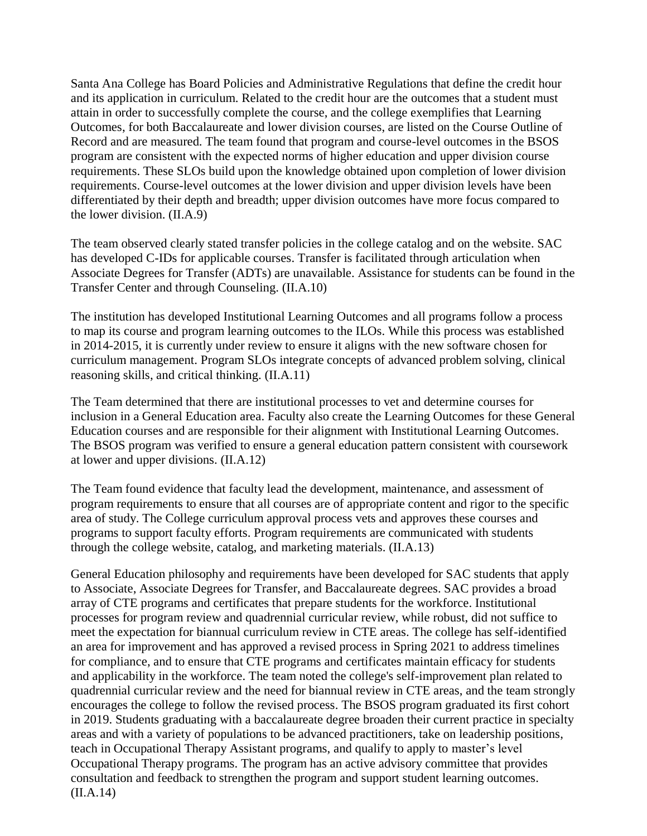Santa Ana College has Board Policies and Administrative Regulations that define the credit hour and its application in curriculum. Related to the credit hour are the outcomes that a student must attain in order to successfully complete the course, and the college exemplifies that Learning Outcomes, for both Baccalaureate and lower division courses, are listed on the Course Outline of Record and are measured. The team found that program and course-level outcomes in the BSOS program are consistent with the expected norms of higher education and upper division course requirements. These SLOs build upon the knowledge obtained upon completion of lower division requirements. Course-level outcomes at the lower division and upper division levels have been differentiated by their depth and breadth; upper division outcomes have more focus compared to the lower division. (II.A.9)

The team observed clearly stated transfer policies in the college catalog and on the website. SAC has developed C-IDs for applicable courses. Transfer is facilitated through articulation when Associate Degrees for Transfer (ADTs) are unavailable. Assistance for students can be found in the Transfer Center and through Counseling. (II.A.10)

The institution has developed Institutional Learning Outcomes and all programs follow a process to map its course and program learning outcomes to the ILOs. While this process was established in 2014-2015, it is currently under review to ensure it aligns with the new software chosen for curriculum management. Program SLOs integrate concepts of advanced problem solving, clinical reasoning skills, and critical thinking. (II.A.11)

The Team determined that there are institutional processes to vet and determine courses for inclusion in a General Education area. Faculty also create the Learning Outcomes for these General Education courses and are responsible for their alignment with Institutional Learning Outcomes. The BSOS program was verified to ensure a general education pattern consistent with coursework at lower and upper divisions. (II.A.12)

The Team found evidence that faculty lead the development, maintenance, and assessment of program requirements to ensure that all courses are of appropriate content and rigor to the specific area of study. The College curriculum approval process vets and approves these courses and programs to support faculty efforts. Program requirements are communicated with students through the college website, catalog, and marketing materials. (II.A.13)

General Education philosophy and requirements have been developed for SAC students that apply to Associate, Associate Degrees for Transfer, and Baccalaureate degrees. SAC provides a broad array of CTE programs and certificates that prepare students for the workforce. Institutional processes for program review and quadrennial curricular review, while robust, did not suffice to meet the expectation for biannual curriculum review in CTE areas. The college has self-identified an area for improvement and has approved a revised process in Spring 2021 to address timelines for compliance, and to ensure that CTE programs and certificates maintain efficacy for students and applicability in the workforce. The team noted the college's self-improvement plan related to quadrennial curricular review and the need for biannual review in CTE areas, and the team strongly encourages the college to follow the revised process. The BSOS program graduated its first cohort in 2019. Students graduating with a baccalaureate degree broaden their current practice in specialty areas and with a variety of populations to be advanced practitioners, take on leadership positions, teach in Occupational Therapy Assistant programs, and qualify to apply to master's level Occupational Therapy programs. The program has an active advisory committee that provides consultation and feedback to strengthen the program and support student learning outcomes. (II.A.14)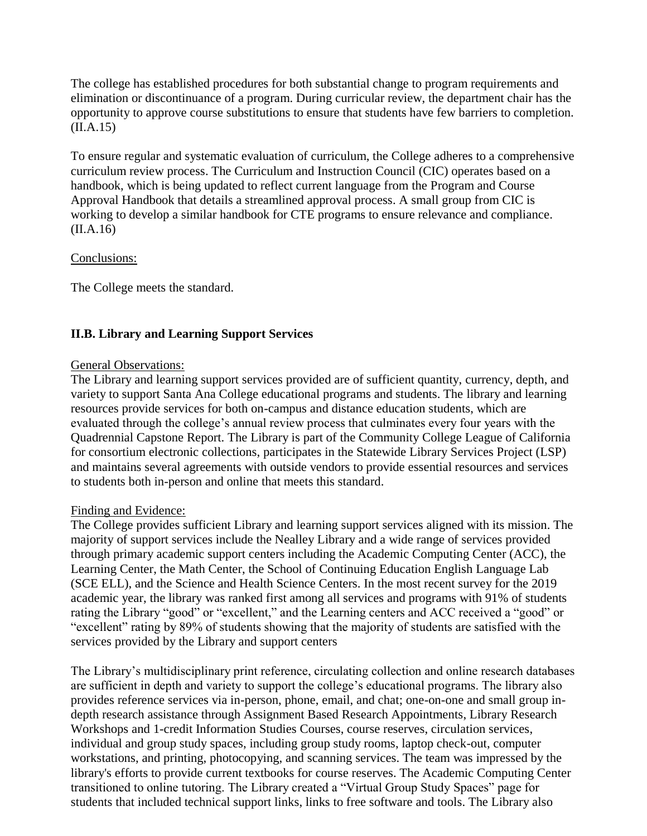The college has established procedures for both substantial change to program requirements and elimination or discontinuance of a program. During curricular review, the department chair has the opportunity to approve course substitutions to ensure that students have few barriers to completion. (II.A.15)

To ensure regular and systematic evaluation of curriculum, the College adheres to a comprehensive curriculum review process. The Curriculum and Instruction Council (CIC) operates based on a handbook, which is being updated to reflect current language from the Program and Course Approval Handbook that details a streamlined approval process. A small group from CIC is working to develop a similar handbook for CTE programs to ensure relevance and compliance. (II.A.16)

#### Conclusions:

The College meets the standard.

### <span id="page-28-0"></span>**II.B. Library and Learning Support Services**

#### General Observations:

The Library and learning support services provided are of sufficient quantity, currency, depth, and variety to support Santa Ana College educational programs and students. The library and learning resources provide services for both on-campus and distance education students, which are evaluated through the college's annual review process that culminates every four years with the Quadrennial Capstone Report. The Library is part of the Community College League of California for consortium electronic collections, participates in the Statewide Library Services Project (LSP) and maintains several agreements with outside vendors to provide essential resources and services to students both in-person and online that meets this standard.

#### Finding and Evidence:

The College provides sufficient Library and learning support services aligned with its mission. The majority of support services include the Nealley Library and a wide range of services provided through primary academic support centers including the Academic Computing Center (ACC), the Learning Center, the Math Center, the School of Continuing Education English Language Lab (SCE ELL), and the Science and Health Science Centers. In the most recent survey for the 2019 academic year, the library was ranked first among all services and programs with 91% of students rating the Library "good" or "excellent," and the Learning centers and ACC received a "good" or "excellent" rating by 89% of students showing that the majority of students are satisfied with the services provided by the Library and support centers

The Library's multidisciplinary print reference, circulating collection and online research databases are sufficient in depth and variety to support the college's educational programs. The library also provides reference services via in-person, phone, email, and chat; one-on-one and small group indepth research assistance through Assignment Based Research Appointments, Library Research Workshops and 1-credit Information Studies Courses, course reserves, circulation services, individual and group study spaces, including group study rooms, laptop check-out, computer workstations, and printing, photocopying, and scanning services. The team was impressed by the library's efforts to provide current textbooks for course reserves. The Academic Computing Center transitioned to online tutoring. The Library created a "Virtual Group Study Spaces" page for students that included technical support links, links to free software and tools. The Library also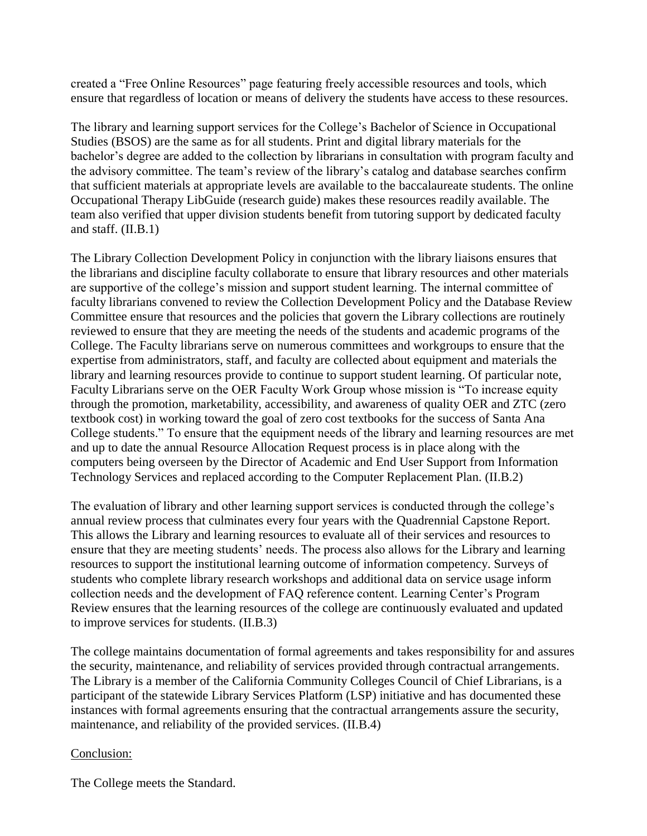created a "Free Online Resources" page featuring freely accessible resources and tools, which ensure that regardless of location or means of delivery the students have access to these resources.

The library and learning support services for the College's Bachelor of Science in Occupational Studies (BSOS) are the same as for all students. Print and digital library materials for the bachelor's degree are added to the collection by librarians in consultation with program faculty and the advisory committee. The team's review of the library's catalog and database searches confirm that sufficient materials at appropriate levels are available to the baccalaureate students. The online Occupational Therapy LibGuide (research guide) makes these resources readily available. The team also verified that upper division students benefit from tutoring support by dedicated faculty and staff. (II.B.1)

The Library Collection Development Policy in conjunction with the library liaisons ensures that the librarians and discipline faculty collaborate to ensure that library resources and other materials are supportive of the college's mission and support student learning. The internal committee of faculty librarians convened to review the Collection Development Policy and the Database Review Committee ensure that resources and the policies that govern the Library collections are routinely reviewed to ensure that they are meeting the needs of the students and academic programs of the College. The Faculty librarians serve on numerous committees and workgroups to ensure that the expertise from administrators, staff, and faculty are collected about equipment and materials the library and learning resources provide to continue to support student learning. Of particular note, Faculty Librarians serve on the OER Faculty Work Group whose mission is "To increase equity through the promotion, marketability, accessibility, and awareness of quality OER and ZTC (zero textbook cost) in working toward the goal of zero cost textbooks for the success of Santa Ana College students." To ensure that the equipment needs of the library and learning resources are met and up to date the annual Resource Allocation Request process is in place along with the computers being overseen by the Director of Academic and End User Support from Information Technology Services and replaced according to the Computer Replacement Plan. (II.B.2)

The evaluation of library and other learning support services is conducted through the college's annual review process that culminates every four years with the Quadrennial Capstone Report. This allows the Library and learning resources to evaluate all of their services and resources to ensure that they are meeting students' needs. The process also allows for the Library and learning resources to support the institutional learning outcome of information competency. Surveys of students who complete library research workshops and additional data on service usage inform collection needs and the development of FAQ reference content. Learning Center's Program Review ensures that the learning resources of the college are continuously evaluated and updated to improve services for students. (II.B.3)

The college maintains documentation of formal agreements and takes responsibility for and assures the security, maintenance, and reliability of services provided through contractual arrangements. The Library is a member of the California Community Colleges Council of Chief Librarians, is a participant of the statewide Library Services Platform (LSP) initiative and has documented these instances with formal agreements ensuring that the contractual arrangements assure the security, maintenance, and reliability of the provided services. (II.B.4)

#### Conclusion:

The College meets the Standard.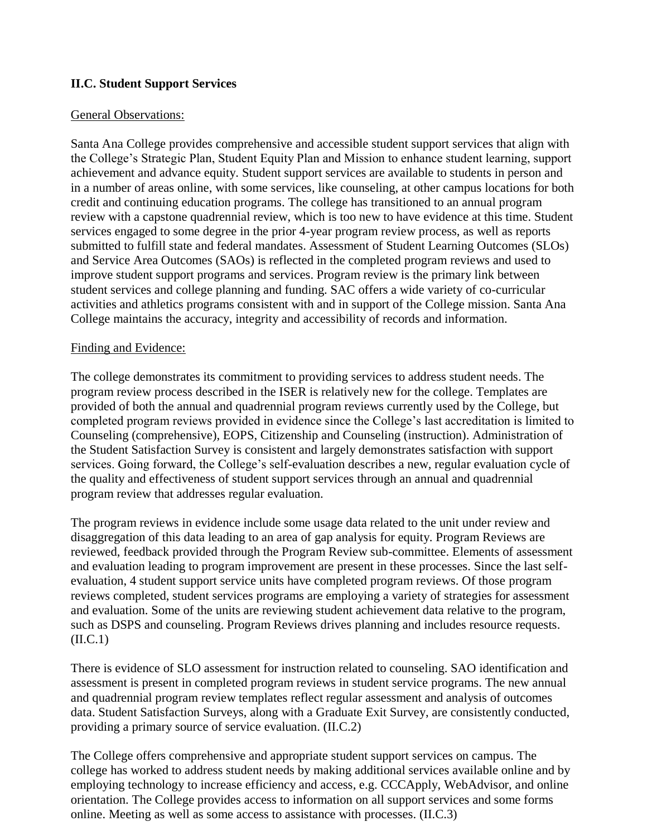#### <span id="page-30-0"></span>**II.C. Student Support Services**

#### General Observations:

Santa Ana College provides comprehensive and accessible student support services that align with the College's Strategic Plan, Student Equity Plan and Mission to enhance student learning, support achievement and advance equity. Student support services are available to students in person and in a number of areas online, with some services, like counseling, at other campus locations for both credit and continuing education programs. The college has transitioned to an annual program review with a capstone quadrennial review, which is too new to have evidence at this time. Student services engaged to some degree in the prior 4-year program review process, as well as reports submitted to fulfill state and federal mandates. Assessment of Student Learning Outcomes (SLOs) and Service Area Outcomes (SAOs) is reflected in the completed program reviews and used to improve student support programs and services. Program review is the primary link between student services and college planning and funding. SAC offers a wide variety of co-curricular activities and athletics programs consistent with and in support of the College mission. Santa Ana College maintains the accuracy, integrity and accessibility of records and information.

#### Finding and Evidence:

The college demonstrates its commitment to providing services to address student needs. The program review process described in the ISER is relatively new for the college. Templates are provided of both the annual and quadrennial program reviews currently used by the College, but completed program reviews provided in evidence since the College's last accreditation is limited to Counseling (comprehensive), EOPS, Citizenship and Counseling (instruction). Administration of the Student Satisfaction Survey is consistent and largely demonstrates satisfaction with support services. Going forward, the College's self-evaluation describes a new, regular evaluation cycle of the quality and effectiveness of student support services through an annual and quadrennial program review that addresses regular evaluation.

The program reviews in evidence include some usage data related to the unit under review and disaggregation of this data leading to an area of gap analysis for equity. Program Reviews are reviewed, feedback provided through the Program Review sub-committee. Elements of assessment and evaluation leading to program improvement are present in these processes. Since the last selfevaluation, 4 student support service units have completed program reviews. Of those program reviews completed, student services programs are employing a variety of strategies for assessment and evaluation. Some of the units are reviewing student achievement data relative to the program, such as DSPS and counseling. Program Reviews drives planning and includes resource requests. (II.C.1)

There is evidence of SLO assessment for instruction related to counseling. SAO identification and assessment is present in completed program reviews in student service programs. The new annual and quadrennial program review templates reflect regular assessment and analysis of outcomes data. Student Satisfaction Surveys, along with a Graduate Exit Survey, are consistently conducted, providing a primary source of service evaluation. (II.C.2)

The College offers comprehensive and appropriate student support services on campus. The college has worked to address student needs by making additional services available online and by employing technology to increase efficiency and access, e.g. CCCApply, WebAdvisor, and online orientation. The College provides access to information on all support services and some forms online. Meeting as well as some access to assistance with processes. (II.C.3)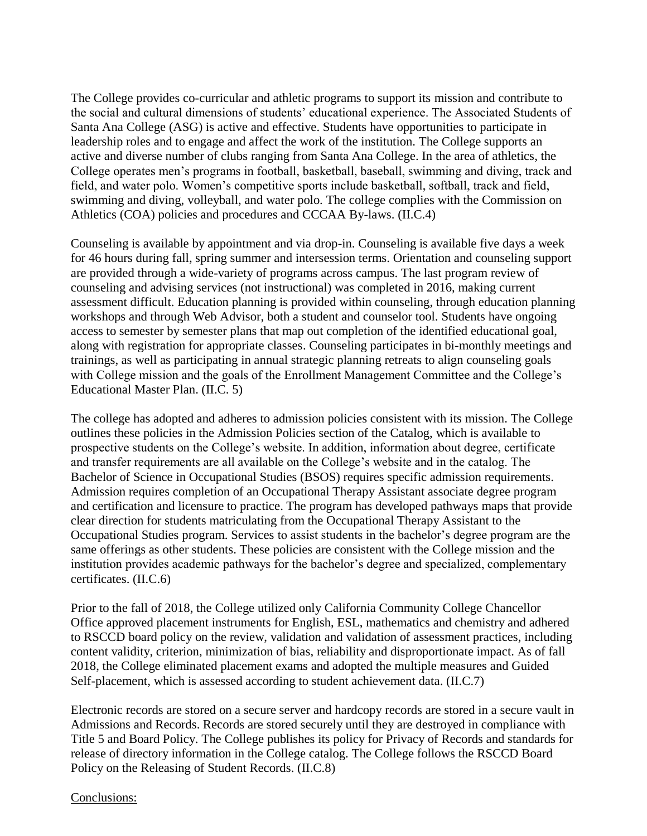The College provides co-curricular and athletic programs to support its mission and contribute to the social and cultural dimensions of students' educational experience. The Associated Students of Santa Ana College (ASG) is active and effective. Students have opportunities to participate in leadership roles and to engage and affect the work of the institution. The College supports an active and diverse number of clubs ranging from Santa Ana College. In the area of athletics, the College operates men's programs in football, basketball, baseball, swimming and diving, track and field, and water polo. Women's competitive sports include basketball, softball, track and field, swimming and diving, volleyball, and water polo. The college complies with the Commission on Athletics (COA) policies and procedures and CCCAA By-laws. (II.C.4)

Counseling is available by appointment and via drop-in. Counseling is available five days a week for 46 hours during fall, spring summer and intersession terms. Orientation and counseling support are provided through a wide-variety of programs across campus. The last program review of counseling and advising services (not instructional) was completed in 2016, making current assessment difficult. Education planning is provided within counseling, through education planning workshops and through Web Advisor, both a student and counselor tool. Students have ongoing access to semester by semester plans that map out completion of the identified educational goal, along with registration for appropriate classes. Counseling participates in bi-monthly meetings and trainings, as well as participating in annual strategic planning retreats to align counseling goals with College mission and the goals of the Enrollment Management Committee and the College's Educational Master Plan. (II.C. 5)

The college has adopted and adheres to admission policies consistent with its mission. The College outlines these policies in the Admission Policies section of the Catalog, which is available to prospective students on the College's website. In addition, information about degree, certificate and transfer requirements are all available on the College's website and in the catalog. The Bachelor of Science in Occupational Studies (BSOS) requires specific admission requirements. Admission requires completion of an Occupational Therapy Assistant associate degree program and certification and licensure to practice. The program has developed pathways maps that provide clear direction for students matriculating from the Occupational Therapy Assistant to the Occupational Studies program. Services to assist students in the bachelor's degree program are the same offerings as other students. These policies are consistent with the College mission and the institution provides academic pathways for the bachelor's degree and specialized, complementary certificates. (II.C.6)

Prior to the fall of 2018, the College utilized only California Community College Chancellor Office approved placement instruments for English, ESL, mathematics and chemistry and adhered to RSCCD board policy on the review, validation and validation of assessment practices, including content validity, criterion, minimization of bias, reliability and disproportionate impact. As of fall 2018, the College eliminated placement exams and adopted the multiple measures and Guided Self-placement, which is assessed according to student achievement data. (II.C.7)

Electronic records are stored on a secure server and hardcopy records are stored in a secure vault in Admissions and Records. Records are stored securely until they are destroyed in compliance with Title 5 and Board Policy. The College publishes its policy for Privacy of Records and standards for release of directory information in the College catalog. The College follows the RSCCD Board Policy on the Releasing of Student Records. (II.C.8)

Conclusions: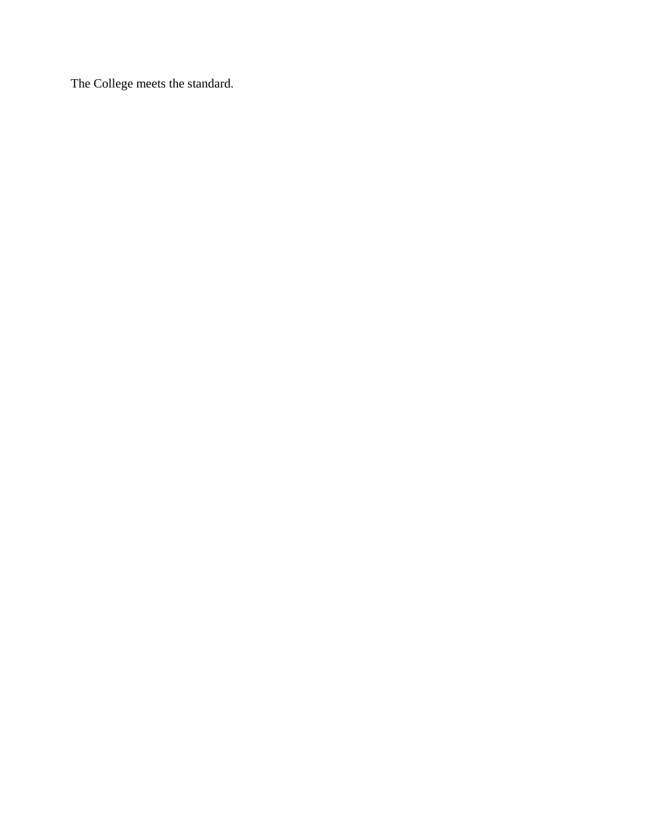The College meets the standard.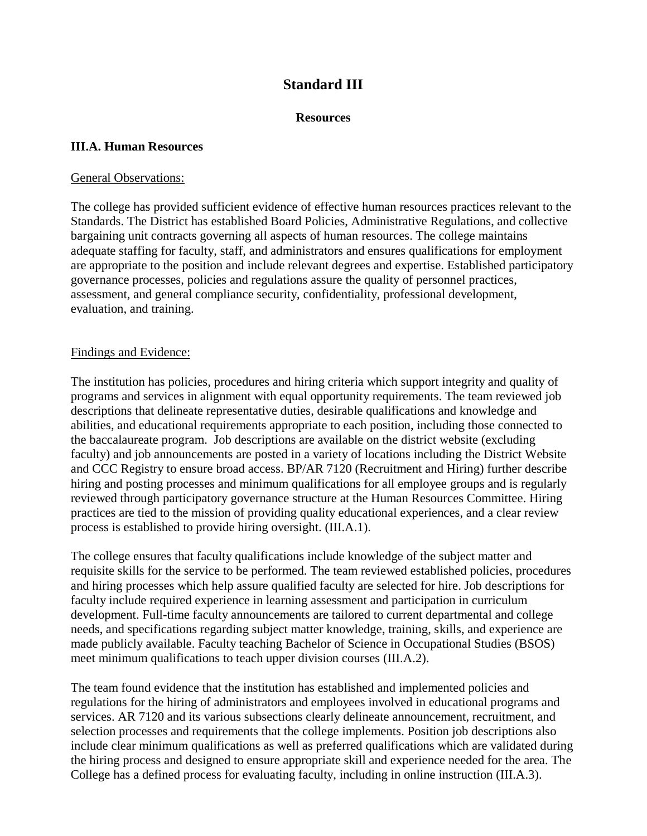# **Standard III**

#### **Resources**

#### <span id="page-33-1"></span><span id="page-33-0"></span>**III.A. Human Resources**

#### General Observations:

The college has provided sufficient evidence of effective human resources practices relevant to the Standards. The District has established Board Policies, Administrative Regulations, and collective bargaining unit contracts governing all aspects of human resources. The college maintains adequate staffing for faculty, staff, and administrators and ensures qualifications for employment are appropriate to the position and include relevant degrees and expertise. Established participatory governance processes, policies and regulations assure the quality of personnel practices, assessment, and general compliance security, confidentiality, professional development, evaluation, and training.

#### Findings and Evidence:

The institution has policies, procedures and hiring criteria which support integrity and quality of programs and services in alignment with equal opportunity requirements. The team reviewed job descriptions that delineate representative duties, desirable qualifications and knowledge and abilities, and educational requirements appropriate to each position, including those connected to the baccalaureate program. Job descriptions are available on the district website (excluding faculty) and job announcements are posted in a variety of locations including the District Website and CCC Registry to ensure broad access. BP/AR 7120 (Recruitment and Hiring) further describe hiring and posting processes and minimum qualifications for all employee groups and is regularly reviewed through participatory governance structure at the Human Resources Committee. Hiring practices are tied to the mission of providing quality educational experiences, and a clear review process is established to provide hiring oversight. (III.A.1).

The college ensures that faculty qualifications include knowledge of the subject matter and requisite skills for the service to be performed. The team reviewed established policies, procedures and hiring processes which help assure qualified faculty are selected for hire. Job descriptions for faculty include required experience in learning assessment and participation in curriculum development. Full-time faculty announcements are tailored to current departmental and college needs, and specifications regarding subject matter knowledge, training, skills, and experience are made publicly available. Faculty teaching Bachelor of Science in Occupational Studies (BSOS) meet minimum qualifications to teach upper division courses (III.A.2).

The team found evidence that the institution has established and implemented policies and regulations for the hiring of administrators and employees involved in educational programs and services. AR 7120 and its various subsections clearly delineate announcement, recruitment, and selection processes and requirements that the college implements. Position job descriptions also include clear minimum qualifications as well as preferred qualifications which are validated during the hiring process and designed to ensure appropriate skill and experience needed for the area. The College has a defined process for evaluating faculty, including in online instruction (III.A.3).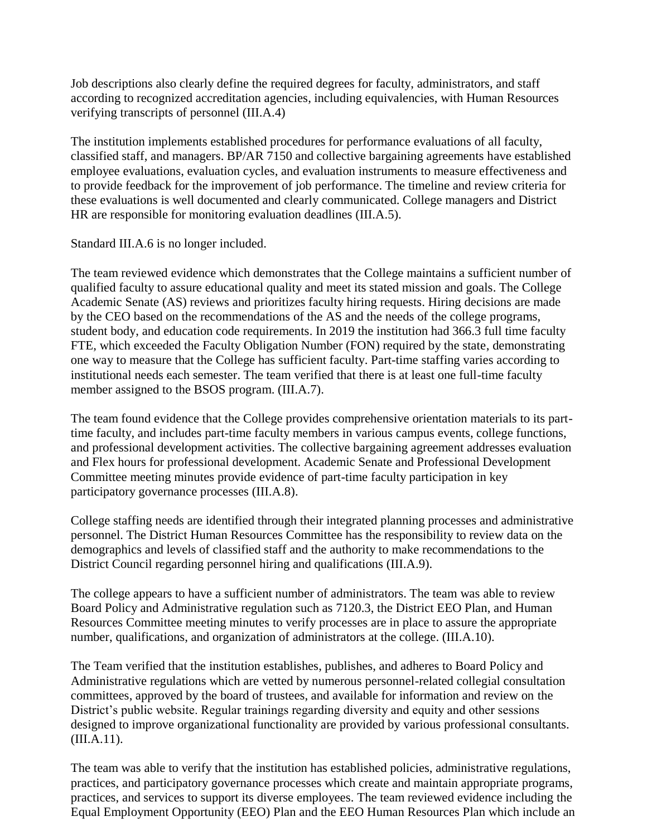Job descriptions also clearly define the required degrees for faculty, administrators, and staff according to recognized accreditation agencies, including equivalencies, with Human Resources verifying transcripts of personnel (III.A.4)

The institution implements established procedures for performance evaluations of all faculty, classified staff, and managers. BP/AR 7150 and collective bargaining agreements have established employee evaluations, evaluation cycles, and evaluation instruments to measure effectiveness and to provide feedback for the improvement of job performance. The timeline and review criteria for these evaluations is well documented and clearly communicated. College managers and District HR are responsible for monitoring evaluation deadlines (III.A.5).

Standard III.A.6 is no longer included.

The team reviewed evidence which demonstrates that the College maintains a sufficient number of qualified faculty to assure educational quality and meet its stated mission and goals. The College Academic Senate (AS) reviews and prioritizes faculty hiring requests. Hiring decisions are made by the CEO based on the recommendations of the AS and the needs of the college programs, student body, and education code requirements. In 2019 the institution had 366.3 full time faculty FTE, which exceeded the Faculty Obligation Number (FON) required by the state, demonstrating one way to measure that the College has sufficient faculty. Part-time staffing varies according to institutional needs each semester. The team verified that there is at least one full-time faculty member assigned to the BSOS program. (III.A.7).

The team found evidence that the College provides comprehensive orientation materials to its parttime faculty, and includes part-time faculty members in various campus events, college functions, and professional development activities. The collective bargaining agreement addresses evaluation and Flex hours for professional development. Academic Senate and Professional Development Committee meeting minutes provide evidence of part-time faculty participation in key participatory governance processes (III.A.8).

College staffing needs are identified through their integrated planning processes and administrative personnel. The District Human Resources Committee has the responsibility to review data on the demographics and levels of classified staff and the authority to make recommendations to the District Council regarding personnel hiring and qualifications (III.A.9).

The college appears to have a sufficient number of administrators. The team was able to review Board Policy and Administrative regulation such as 7120.3, the District EEO Plan, and Human Resources Committee meeting minutes to verify processes are in place to assure the appropriate number, qualifications, and organization of administrators at the college. (III.A.10).

The Team verified that the institution establishes, publishes, and adheres to Board Policy and Administrative regulations which are vetted by numerous personnel-related collegial consultation committees, approved by the board of trustees, and available for information and review on the District's public website. Regular trainings regarding diversity and equity and other sessions designed to improve organizational functionality are provided by various professional consultants. (III.A.11).

The team was able to verify that the institution has established policies, administrative regulations, practices, and participatory governance processes which create and maintain appropriate programs, practices, and services to support its diverse employees. The team reviewed evidence including the Equal Employment Opportunity (EEO) Plan and the EEO Human Resources Plan which include an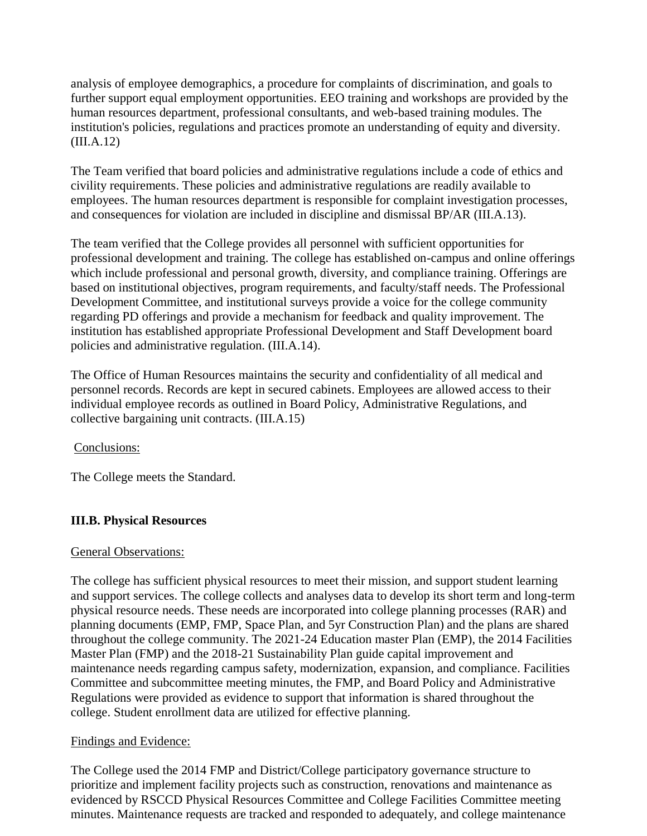analysis of employee demographics, a procedure for complaints of discrimination, and goals to further support equal employment opportunities. EEO training and workshops are provided by the human resources department, professional consultants, and web-based training modules. The institution's policies, regulations and practices promote an understanding of equity and diversity. (III.A.12)

The Team verified that board policies and administrative regulations include a code of ethics and civility requirements. These policies and administrative regulations are readily available to employees. The human resources department is responsible for complaint investigation processes, and consequences for violation are included in discipline and dismissal BP/AR (III.A.13).

The team verified that the College provides all personnel with sufficient opportunities for professional development and training. The college has established on-campus and online offerings which include professional and personal growth, diversity, and compliance training. Offerings are based on institutional objectives, program requirements, and faculty/staff needs. The Professional Development Committee, and institutional surveys provide a voice for the college community regarding PD offerings and provide a mechanism for feedback and quality improvement. The institution has established appropriate Professional Development and Staff Development board policies and administrative regulation. (III.A.14).

The Office of Human Resources maintains the security and confidentiality of all medical and personnel records. Records are kept in secured cabinets. Employees are allowed access to their individual employee records as outlined in Board Policy, Administrative Regulations, and collective bargaining unit contracts. (III.A.15)

#### Conclusions:

The College meets the Standard.

# <span id="page-35-0"></span>**III.B. Physical Resources**

#### General Observations:

The college has sufficient physical resources to meet their mission, and support student learning and support services. The college collects and analyses data to develop its short term and long-term physical resource needs. These needs are incorporated into college planning processes (RAR) and planning documents (EMP, FMP, Space Plan, and 5yr Construction Plan) and the plans are shared throughout the college community. The 2021-24 Education master Plan (EMP), the 2014 Facilities Master Plan (FMP) and the 2018-21 Sustainability Plan guide capital improvement and maintenance needs regarding campus safety, modernization, expansion, and compliance. Facilities Committee and subcommittee meeting minutes, the FMP, and Board Policy and Administrative Regulations were provided as evidence to support that information is shared throughout the college. Student enrollment data are utilized for effective planning.

#### Findings and Evidence:

The College used the 2014 FMP and District/College participatory governance structure to prioritize and implement facility projects such as construction, renovations and maintenance as evidenced by RSCCD Physical Resources Committee and College Facilities Committee meeting minutes. Maintenance requests are tracked and responded to adequately, and college maintenance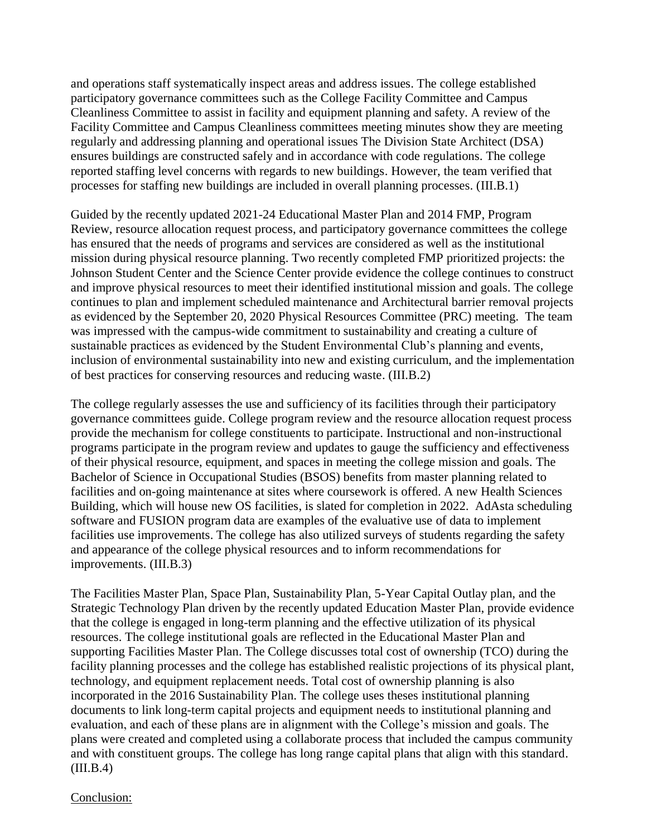and operations staff systematically inspect areas and address issues. The college established participatory governance committees such as the College Facility Committee and Campus Cleanliness Committee to assist in facility and equipment planning and safety. A review of the Facility Committee and Campus Cleanliness committees meeting minutes show they are meeting regularly and addressing planning and operational issues The Division State Architect (DSA) ensures buildings are constructed safely and in accordance with code regulations. The college reported staffing level concerns with regards to new buildings. However, the team verified that processes for staffing new buildings are included in overall planning processes. (III.B.1)

Guided by the recently updated 2021-24 Educational Master Plan and 2014 FMP, Program Review, resource allocation request process, and participatory governance committees the college has ensured that the needs of programs and services are considered as well as the institutional mission during physical resource planning. Two recently completed FMP prioritized projects: the Johnson Student Center and the Science Center provide evidence the college continues to construct and improve physical resources to meet their identified institutional mission and goals. The college continues to plan and implement scheduled maintenance and Architectural barrier removal projects as evidenced by the September 20, 2020 Physical Resources Committee (PRC) meeting. The team was impressed with the campus-wide commitment to sustainability and creating a culture of sustainable practices as evidenced by the Student Environmental Club's planning and events, inclusion of environmental sustainability into new and existing curriculum, and the implementation of best practices for conserving resources and reducing waste. (III.B.2)

The college regularly assesses the use and sufficiency of its facilities through their participatory governance committees guide. College program review and the resource allocation request process provide the mechanism for college constituents to participate. Instructional and non-instructional programs participate in the program review and updates to gauge the sufficiency and effectiveness of their physical resource, equipment, and spaces in meeting the college mission and goals. The Bachelor of Science in Occupational Studies (BSOS) benefits from master planning related to facilities and on-going maintenance at sites where coursework is offered. A new Health Sciences Building, which will house new OS facilities, is slated for completion in 2022. AdAsta scheduling software and FUSION program data are examples of the evaluative use of data to implement facilities use improvements. The college has also utilized surveys of students regarding the safety and appearance of the college physical resources and to inform recommendations for improvements. (III.B.3)

The Facilities Master Plan, Space Plan, Sustainability Plan, 5-Year Capital Outlay plan, and the Strategic Technology Plan driven by the recently updated Education Master Plan, provide evidence that the college is engaged in long-term planning and the effective utilization of its physical resources. The college institutional goals are reflected in the Educational Master Plan and supporting Facilities Master Plan. The College discusses total cost of ownership (TCO) during the facility planning processes and the college has established realistic projections of its physical plant, technology, and equipment replacement needs. Total cost of ownership planning is also incorporated in the 2016 Sustainability Plan. The college uses theses institutional planning documents to link long-term capital projects and equipment needs to institutional planning and evaluation, and each of these plans are in alignment with the College's mission and goals. The plans were created and completed using a collaborate process that included the campus community and with constituent groups. The college has long range capital plans that align with this standard.  $(III.B.4)$ 

#### Conclusion: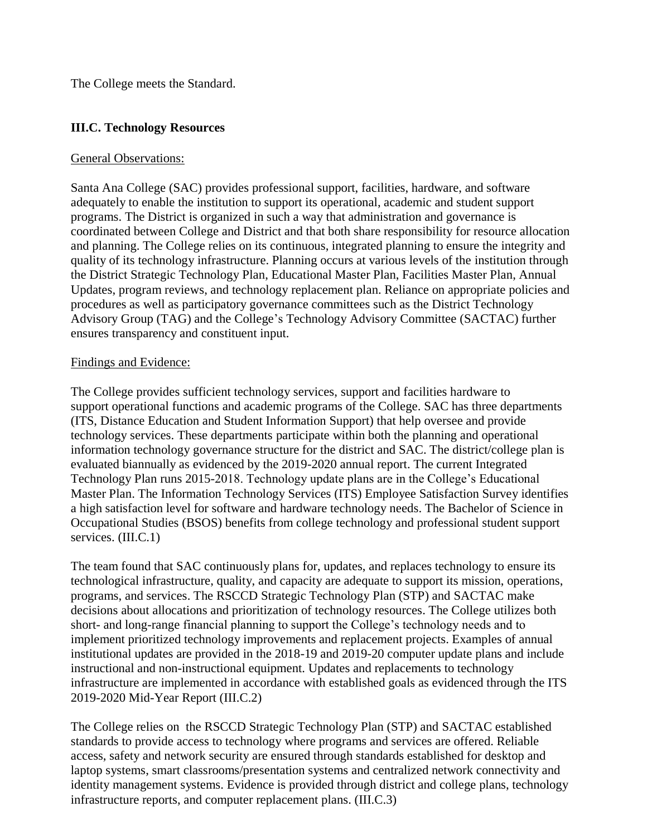The College meets the Standard.

### <span id="page-37-0"></span>**III.C. Technology Resources**

#### General Observations:

Santa Ana College (SAC) provides professional support, facilities, hardware, and software adequately to enable the institution to support its operational, academic and student support programs. The District is organized in such a way that administration and governance is coordinated between College and District and that both share responsibility for resource allocation and planning. The College relies on its continuous, integrated planning to ensure the integrity and quality of its technology infrastructure. Planning occurs at various levels of the institution through the District Strategic Technology Plan, Educational Master Plan, Facilities Master Plan, Annual Updates, program reviews, and technology replacement plan. Reliance on appropriate policies and procedures as well as participatory governance committees such as the District Technology Advisory Group (TAG) and the College's Technology Advisory Committee (SACTAC) further ensures transparency and constituent input.

#### Findings and Evidence:

The College provides sufficient technology services, support and facilities hardware to support operational functions and academic programs of the College. SAC has three departments (ITS, Distance Education and Student Information Support) that help oversee and provide technology services. These departments participate within both the planning and operational information technology governance structure for the district and SAC. The district/college plan is evaluated biannually as evidenced by the 2019-2020 annual report. The current Integrated Technology Plan runs 2015-2018. Technology update plans are in the College's Educational Master Plan. The Information Technology Services (ITS) Employee Satisfaction Survey identifies a high satisfaction level for software and hardware technology needs. The Bachelor of Science in Occupational Studies (BSOS) benefits from college technology and professional student support services. (III.C.1)

The team found that SAC continuously plans for, updates, and replaces technology to ensure its technological infrastructure, quality, and capacity are adequate to support its mission, operations, programs, and services. The RSCCD Strategic Technology Plan (STP) and SACTAC make decisions about allocations and prioritization of technology resources. The College utilizes both short- and long-range financial planning to support the College's technology needs and to implement prioritized technology improvements and replacement projects. Examples of annual institutional updates are provided in the 2018-19 and 2019-20 computer update plans and include instructional and non-instructional equipment. Updates and replacements to technology infrastructure are implemented in accordance with established goals as evidenced through the ITS 2019-2020 Mid-Year Report (III.C.2)

The College relies on the RSCCD Strategic Technology Plan (STP) and SACTAC established standards to provide access to technology where programs and services are offered. Reliable access, safety and network security are ensured through standards established for desktop and laptop systems, smart classrooms/presentation systems and centralized network connectivity and identity management systems. Evidence is provided through district and college plans, technology infrastructure reports, and computer replacement plans. (III.C.3)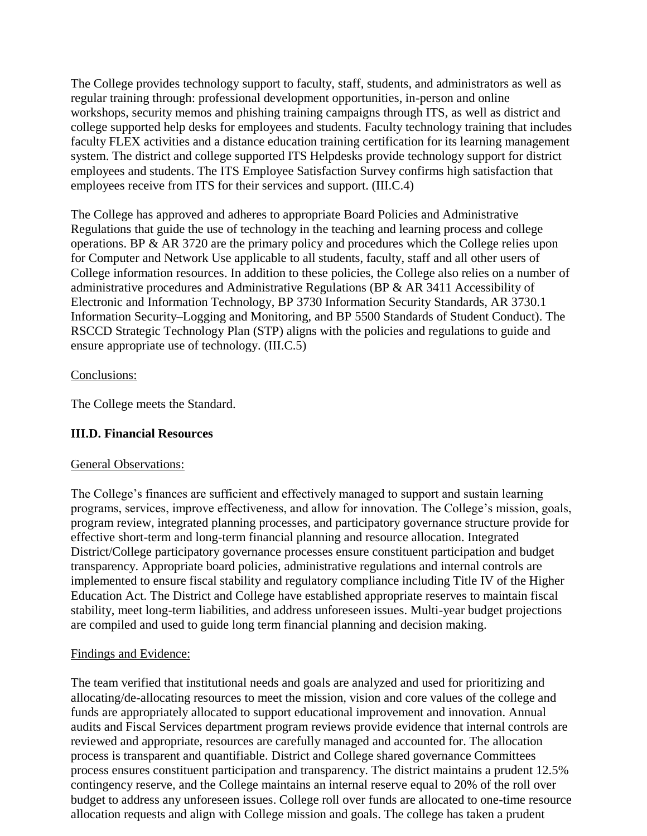The College provides technology support to faculty, staff, students, and administrators as well as regular training through: professional development opportunities, in-person and online workshops, security memos and phishing training campaigns through ITS, as well as district and college supported help desks for employees and students. Faculty technology training that includes faculty FLEX activities and a distance education training certification for its learning management system. The district and college supported ITS Helpdesks provide technology support for district employees and students. The ITS Employee Satisfaction Survey confirms high satisfaction that employees receive from ITS for their services and support. (III.C.4)

The College has approved and adheres to appropriate Board Policies and Administrative Regulations that guide the use of technology in the teaching and learning process and college operations. BP & AR 3720 are the primary policy and procedures which the College relies upon for Computer and Network Use applicable to all students, faculty, staff and all other users of College information resources. In addition to these policies, the College also relies on a number of administrative procedures and Administrative Regulations (BP & AR 3411 Accessibility of Electronic and Information Technology, BP 3730 Information Security Standards, AR 3730.1 Information Security–Logging and Monitoring, and BP 5500 Standards of Student Conduct). The RSCCD Strategic Technology Plan (STP) aligns with the policies and regulations to guide and ensure appropriate use of technology. (III.C.5)

#### Conclusions:

The College meets the Standard.

#### <span id="page-38-0"></span>**III.D. Financial Resources**

#### General Observations:

The College's finances are sufficient and effectively managed to support and sustain learning programs, services, improve effectiveness, and allow for innovation. The College's mission, goals, program review, integrated planning processes, and participatory governance structure provide for effective short-term and long-term financial planning and resource allocation. Integrated District/College participatory governance processes ensure constituent participation and budget transparency. Appropriate board policies, administrative regulations and internal controls are implemented to ensure fiscal stability and regulatory compliance including Title IV of the Higher Education Act. The District and College have established appropriate reserves to maintain fiscal stability, meet long-term liabilities, and address unforeseen issues. Multi-year budget projections are compiled and used to guide long term financial planning and decision making.

#### Findings and Evidence:

The team verified that institutional needs and goals are analyzed and used for prioritizing and allocating/de-allocating resources to meet the mission, vision and core values of the college and funds are appropriately allocated to support educational improvement and innovation. Annual audits and Fiscal Services department program reviews provide evidence that internal controls are reviewed and appropriate, resources are carefully managed and accounted for. The allocation process is transparent and quantifiable. District and College shared governance Committees process ensures constituent participation and transparency. The district maintains a prudent 12.5% contingency reserve, and the College maintains an internal reserve equal to 20% of the roll over budget to address any unforeseen issues. College roll over funds are allocated to one-time resource allocation requests and align with College mission and goals. The college has taken a prudent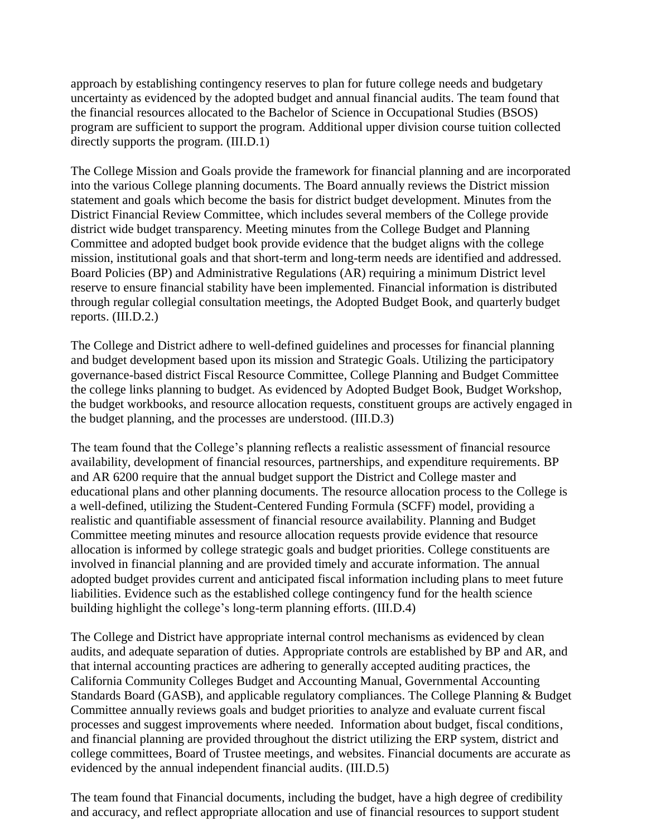approach by establishing contingency reserves to plan for future college needs and budgetary uncertainty as evidenced by the adopted budget and annual financial audits. The team found that the financial resources allocated to the Bachelor of Science in Occupational Studies (BSOS) program are sufficient to support the program. Additional upper division course tuition collected directly supports the program. (III.D.1)

The College Mission and Goals provide the framework for financial planning and are incorporated into the various College planning documents. The Board annually reviews the District mission statement and goals which become the basis for district budget development. Minutes from the District Financial Review Committee, which includes several members of the College provide district wide budget transparency. Meeting minutes from the College Budget and Planning Committee and adopted budget book provide evidence that the budget aligns with the college mission, institutional goals and that short-term and long-term needs are identified and addressed. Board Policies (BP) and Administrative Regulations (AR) requiring a minimum District level reserve to ensure financial stability have been implemented. Financial information is distributed through regular collegial consultation meetings, the Adopted Budget Book, and quarterly budget reports. (III.D.2.)

The College and District adhere to well-defined guidelines and processes for financial planning and budget development based upon its mission and Strategic Goals. Utilizing the participatory governance-based district Fiscal Resource Committee, College Planning and Budget Committee the college links planning to budget. As evidenced by Adopted Budget Book, Budget Workshop, the budget workbooks, and resource allocation requests, constituent groups are actively engaged in the budget planning, and the processes are understood. (III.D.3)

The team found that the College's planning reflects a realistic assessment of financial resource availability, development of financial resources, partnerships, and expenditure requirements. BP and AR 6200 require that the annual budget support the District and College master and educational plans and other planning documents. The resource allocation process to the College is a well-defined, utilizing the Student-Centered Funding Formula (SCFF) model, providing a realistic and quantifiable assessment of financial resource availability. Planning and Budget Committee meeting minutes and resource allocation requests provide evidence that resource allocation is informed by college strategic goals and budget priorities. College constituents are involved in financial planning and are provided timely and accurate information. The annual adopted budget provides current and anticipated fiscal information including plans to meet future liabilities. Evidence such as the established college contingency fund for the health science building highlight the college's long-term planning efforts. (III.D.4)

The College and District have appropriate internal control mechanisms as evidenced by clean audits, and adequate separation of duties. Appropriate controls are established by BP and AR, and that internal accounting practices are adhering to generally accepted auditing practices, the California Community Colleges Budget and Accounting Manual, Governmental Accounting Standards Board (GASB), and applicable regulatory compliances. The College Planning & Budget Committee annually reviews goals and budget priorities to analyze and evaluate current fiscal processes and suggest improvements where needed. Information about budget, fiscal conditions, and financial planning are provided throughout the district utilizing the ERP system, district and college committees, Board of Trustee meetings, and websites. Financial documents are accurate as evidenced by the annual independent financial audits. (III.D.5)

The team found that Financial documents, including the budget, have a high degree of credibility and accuracy, and reflect appropriate allocation and use of financial resources to support student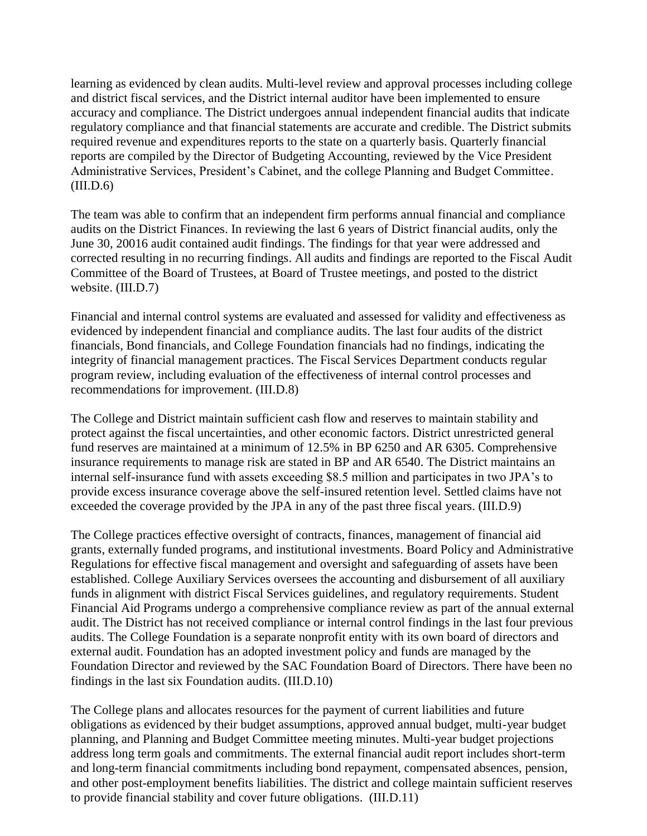learning as evidenced by clean audits. Multi-level review and approval processes including college and district fiscal services, and the District internal auditor have been implemented to ensure accuracy and compliance. The District undergoes annual independent financial audits that indicate regulatory compliance and that financial statements are accurate and credible. The District submits required revenue and expenditures reports to the state on a quarterly basis. Quarterly financial reports are compiled by the Director of Budgeting Accounting, reviewed by the Vice President Administrative Services, President's Cabinet, and the college Planning and Budget Committee. (III.D.6)

The team was able to confirm that an independent firm performs annual financial and compliance audits on the District Finances. In reviewing the last 6 years of District financial audits, only the June 30, 20016 audit contained audit findings. The findings for that year were addressed and corrected resulting in no recurring findings. All audits and findings are reported to the Fiscal Audit Committee of the Board of Trustees, at Board of Trustee meetings, and posted to the district website. (III.D.7)

Financial and internal control systems are evaluated and assessed for validity and effectiveness as evidenced by independent financial and compliance audits. The last four audits of the district financials, Bond financials, and College Foundation financials had no findings, indicating the integrity of financial management practices. The Fiscal Services Department conducts regular program review, including evaluation of the effectiveness of internal control processes and recommendations for improvement. (III.D.8)

The College and District maintain sufficient cash flow and reserves to maintain stability and protect against the fiscal uncertainties, and other economic factors. District unrestricted general fund reserves are maintained at a minimum of 12.5% in BP 6250 and AR 6305. Comprehensive insurance requirements to manage risk are stated in BP and AR 6540. The District maintains an internal self-insurance fund with assets exceeding \$8.5 million and participates in two JPA's to provide excess insurance coverage above the self-insured retention level. Settled claims have not exceeded the coverage provided by the JPA in any of the past three fiscal years. (III.D.9)

The College practices effective oversight of contracts, finances, management of financial aid grants, externally funded programs, and institutional investments. Board Policy and Administrative Regulations for effective fiscal management and oversight and safeguarding of assets have been established. College Auxiliary Services oversees the accounting and disbursement of all auxiliary funds in alignment with district Fiscal Services guidelines, and regulatory requirements. Student Financial Aid Programs undergo a comprehensive compliance review as part of the annual external audit. The District has not received compliance or internal control findings in the last four previous audits. The College Foundation is a separate nonprofit entity with its own board of directors and external audit. Foundation has an adopted investment policy and funds are managed by the Foundation Director and reviewed by the SAC Foundation Board of Directors. There have been no findings in the last six Foundation audits. (III.D.10)

The College plans and allocates resources for the payment of current liabilities and future obligations as evidenced by their budget assumptions, approved annual budget, multi-year budget planning, and Planning and Budget Committee meeting minutes. Multi-year budget projections address long term goals and commitments. The external financial audit report includes short-term and long-term financial commitments including bond repayment, compensated absences, pension, and other post-employment benefits liabilities. The district and college maintain sufficient reserves to provide financial stability and cover future obligations. (III.D.11)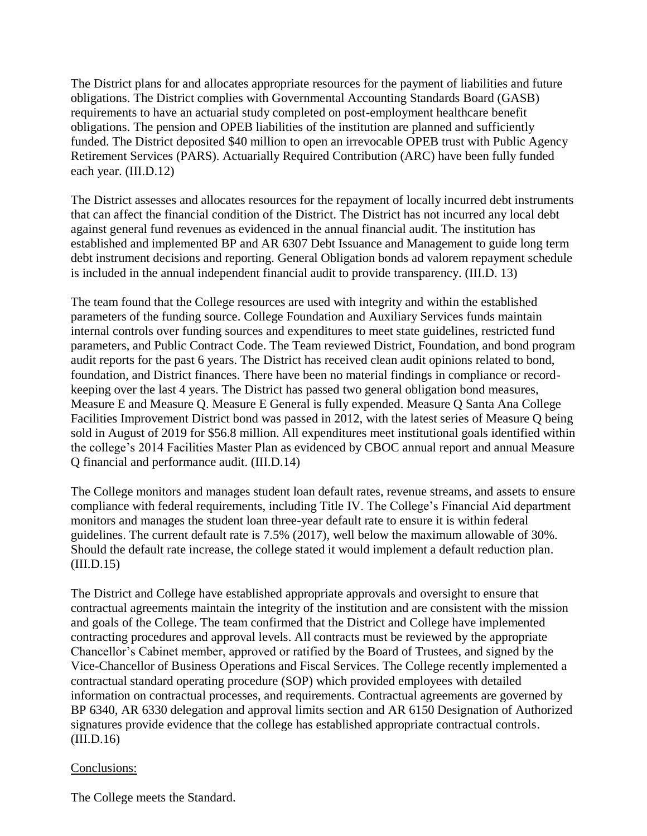The District plans for and allocates appropriate resources for the payment of liabilities and future obligations. The District complies with Governmental Accounting Standards Board (GASB) requirements to have an actuarial study completed on post-employment healthcare benefit obligations. The pension and OPEB liabilities of the institution are planned and sufficiently funded. The District deposited \$40 million to open an irrevocable OPEB trust with Public Agency Retirement Services (PARS). Actuarially Required Contribution (ARC) have been fully funded each year. (III.D.12)

The District assesses and allocates resources for the repayment of locally incurred debt instruments that can affect the financial condition of the District. The District has not incurred any local debt against general fund revenues as evidenced in the annual financial audit. The institution has established and implemented BP and AR 6307 Debt Issuance and Management to guide long term debt instrument decisions and reporting. General Obligation bonds ad valorem repayment schedule is included in the annual independent financial audit to provide transparency. (III.D. 13)

The team found that the College resources are used with integrity and within the established parameters of the funding source. College Foundation and Auxiliary Services funds maintain internal controls over funding sources and expenditures to meet state guidelines, restricted fund parameters, and Public Contract Code. The Team reviewed District, Foundation, and bond program audit reports for the past 6 years. The District has received clean audit opinions related to bond, foundation, and District finances. There have been no material findings in compliance or recordkeeping over the last 4 years. The District has passed two general obligation bond measures, Measure E and Measure Q. Measure E General is fully expended. Measure Q Santa Ana College Facilities Improvement District bond was passed in 2012, with the latest series of Measure Q being sold in August of 2019 for \$56.8 million. All expenditures meet institutional goals identified within the college's 2014 Facilities Master Plan as evidenced by CBOC annual report and annual Measure Q financial and performance audit. (III.D.14)

The College monitors and manages student loan default rates, revenue streams, and assets to ensure compliance with federal requirements, including Title IV. The College's Financial Aid department monitors and manages the student loan three-year default rate to ensure it is within federal guidelines. The current default rate is 7.5% (2017), well below the maximum allowable of 30%. Should the default rate increase, the college stated it would implement a default reduction plan.  $(III.D.15)$ 

The District and College have established appropriate approvals and oversight to ensure that contractual agreements maintain the integrity of the institution and are consistent with the mission and goals of the College. The team confirmed that the District and College have implemented contracting procedures and approval levels. All contracts must be reviewed by the appropriate Chancellor's Cabinet member, approved or ratified by the Board of Trustees, and signed by the Vice-Chancellor of Business Operations and Fiscal Services. The College recently implemented a contractual standard operating procedure (SOP) which provided employees with detailed information on contractual processes, and requirements. Contractual agreements are governed by BP 6340, AR 6330 delegation and approval limits section and AR 6150 Designation of Authorized signatures provide evidence that the college has established appropriate contractual controls.  $(III.D.16)$ 

#### Conclusions:

The College meets the Standard.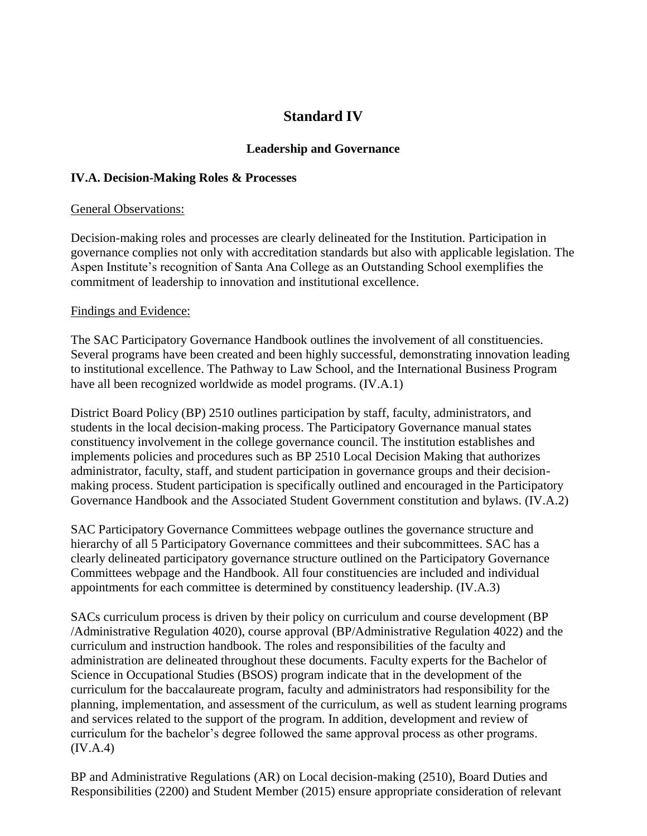# **Standard IV**

# **Leadership and Governance**

### <span id="page-42-1"></span><span id="page-42-0"></span>**IV.A. Decision-Making Roles & Processes**

#### General Observations:

Decision-making roles and processes are clearly delineated for the Institution. Participation in governance complies not only with accreditation standards but also with applicable legislation. The Aspen Institute's recognition of Santa Ana College as an Outstanding School exemplifies the commitment of leadership to innovation and institutional excellence.

#### Findings and Evidence:

The SAC Participatory Governance Handbook outlines the involvement of all constituencies. Several programs have been created and been highly successful, demonstrating innovation leading to institutional excellence. The Pathway to Law School, and the International Business Program have all been recognized worldwide as model programs. (IV.A.1)

District Board Policy (BP) 2510 outlines participation by staff, faculty, administrators, and students in the local decision-making process. The Participatory Governance manual states constituency involvement in the college governance council. The institution establishes and implements policies and procedures such as BP 2510 Local Decision Making that authorizes administrator, faculty, staff, and student participation in governance groups and their decisionmaking process. Student participation is specifically outlined and encouraged in the Participatory Governance Handbook and the Associated Student Government constitution and bylaws. (IV.A.2)

SAC Participatory Governance Committees webpage outlines the governance structure and hierarchy of all 5 Participatory Governance committees and their subcommittees. SAC has a clearly delineated participatory governance structure outlined on the Participatory Governance Committees webpage and the Handbook. All four constituencies are included and individual appointments for each committee is determined by constituency leadership. (IV.A.3)

SACs curriculum process is driven by their policy on curriculum and course development (BP /Administrative Regulation 4020), course approval (BP/Administrative Regulation 4022) and the curriculum and instruction handbook. The roles and responsibilities of the faculty and administration are delineated throughout these documents. Faculty experts for the Bachelor of Science in Occupational Studies (BSOS) program indicate that in the development of the curriculum for the baccalaureate program, faculty and administrators had responsibility for the planning, implementation, and assessment of the curriculum, as well as student learning programs and services related to the support of the program. In addition, development and review of curriculum for the bachelor's degree followed the same approval process as other programs. (IV.A.4)

BP and Administrative Regulations (AR) on Local decision-making (2510), Board Duties and Responsibilities (2200) and Student Member (2015) ensure appropriate consideration of relevant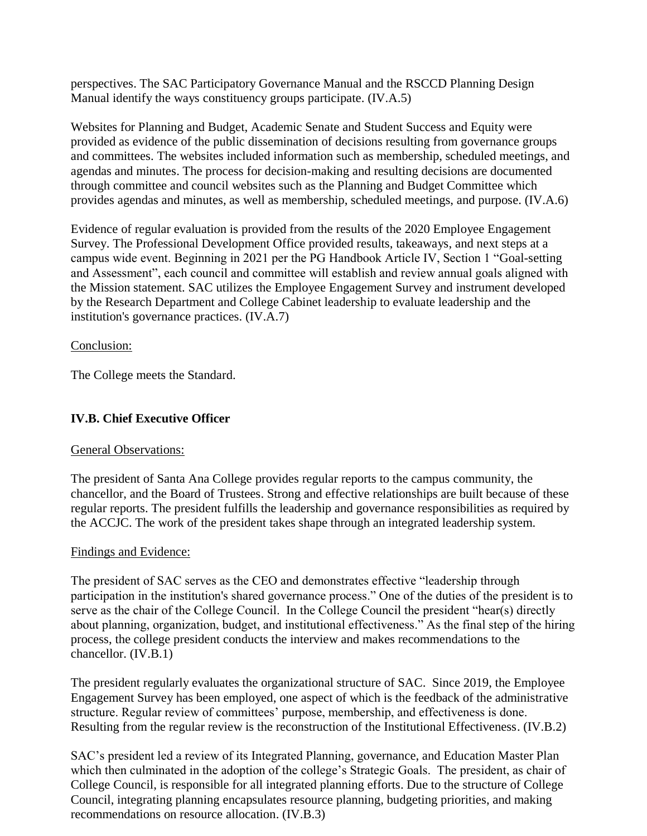perspectives. The SAC Participatory Governance Manual and the RSCCD Planning Design Manual identify the ways constituency groups participate. (IV.A.5)

Websites for Planning and Budget, Academic Senate and Student Success and Equity were provided as evidence of the public dissemination of decisions resulting from governance groups and committees. The websites included information such as membership, scheduled meetings, and agendas and minutes. The process for decision-making and resulting decisions are documented through committee and council websites such as the Planning and Budget Committee which provides agendas and minutes, as well as membership, scheduled meetings, and purpose. (IV.A.6)

Evidence of regular evaluation is provided from the results of the 2020 Employee Engagement Survey. The Professional Development Office provided results, takeaways, and next steps at a campus wide event. Beginning in 2021 per the PG Handbook Article IV, Section 1 "Goal-setting and Assessment", each council and committee will establish and review annual goals aligned with the Mission statement. SAC utilizes the Employee Engagement Survey and instrument developed by the Research Department and College Cabinet leadership to evaluate leadership and the institution's governance practices. (IV.A.7)

#### Conclusion:

The College meets the Standard.

#### <span id="page-43-0"></span>**IV.B. Chief Executive Officer**

#### General Observations:

The president of Santa Ana College provides regular reports to the campus community, the chancellor, and the Board of Trustees. Strong and effective relationships are built because of these regular reports. The president fulfills the leadership and governance responsibilities as required by the ACCJC. The work of the president takes shape through an integrated leadership system.

#### Findings and Evidence:

The president of SAC serves as the CEO and demonstrates effective "leadership through participation in the institution's shared governance process." One of the duties of the president is to serve as the chair of the College Council. In the College Council the president "hear(s) directly about planning, organization, budget, and institutional effectiveness." As the final step of the hiring process, the college president conducts the interview and makes recommendations to the chancellor. (IV.B.1)

The president regularly evaluates the organizational structure of SAC. Since 2019, the Employee Engagement Survey has been employed, one aspect of which is the feedback of the administrative structure. Regular review of committees' purpose, membership, and effectiveness is done. Resulting from the regular review is the reconstruction of the Institutional Effectiveness. (IV.B.2)

SAC's president led a review of its Integrated Planning, governance, and Education Master Plan which then culminated in the adoption of the college's Strategic Goals. The president, as chair of College Council, is responsible for all integrated planning efforts. Due to the structure of College Council, integrating planning encapsulates resource planning, budgeting priorities, and making recommendations on resource allocation. (IV.B.3)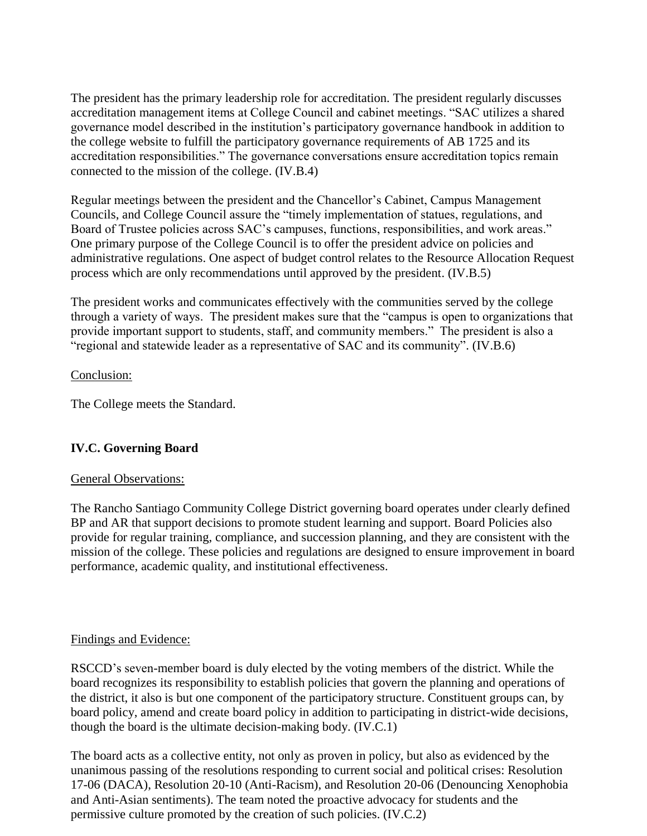The president has the primary leadership role for accreditation. The president regularly discusses accreditation management items at College Council and cabinet meetings. "SAC utilizes a shared governance model described in the institution's participatory governance handbook in addition to the college website to fulfill the participatory governance requirements of AB 1725 and its accreditation responsibilities." The governance conversations ensure accreditation topics remain connected to the mission of the college. (IV.B.4)

Regular meetings between the president and the Chancellor's Cabinet, Campus Management Councils, and College Council assure the "timely implementation of statues, regulations, and Board of Trustee policies across SAC's campuses, functions, responsibilities, and work areas." One primary purpose of the College Council is to offer the president advice on policies and administrative regulations. One aspect of budget control relates to the Resource Allocation Request process which are only recommendations until approved by the president. (IV.B.5)

The president works and communicates effectively with the communities served by the college through a variety of ways. The president makes sure that the "campus is open to organizations that provide important support to students, staff, and community members." The president is also a "regional and statewide leader as a representative of SAC and its community". (IV.B.6)

#### Conclusion:

The College meets the Standard.

#### <span id="page-44-0"></span>**IV.C. Governing Board**

#### General Observations:

The Rancho Santiago Community College District governing board operates under clearly defined BP and AR that support decisions to promote student learning and support. Board Policies also provide for regular training, compliance, and succession planning, and they are consistent with the mission of the college. These policies and regulations are designed to ensure improvement in board performance, academic quality, and institutional effectiveness.

#### Findings and Evidence:

RSCCD's seven-member board is duly elected by the voting members of the district. While the board recognizes its responsibility to establish policies that govern the planning and operations of the district, it also is but one component of the participatory structure. Constituent groups can, by board policy, amend and create board policy in addition to participating in district-wide decisions, though the board is the ultimate decision-making body. (IV.C.1)

The board acts as a collective entity, not only as proven in policy, but also as evidenced by the unanimous passing of the resolutions responding to current social and political crises: Resolution 17-06 (DACA), Resolution 20-10 (Anti-Racism), and Resolution 20-06 (Denouncing Xenophobia and Anti-Asian sentiments). The team noted the proactive advocacy for students and the permissive culture promoted by the creation of such policies. (IV.C.2)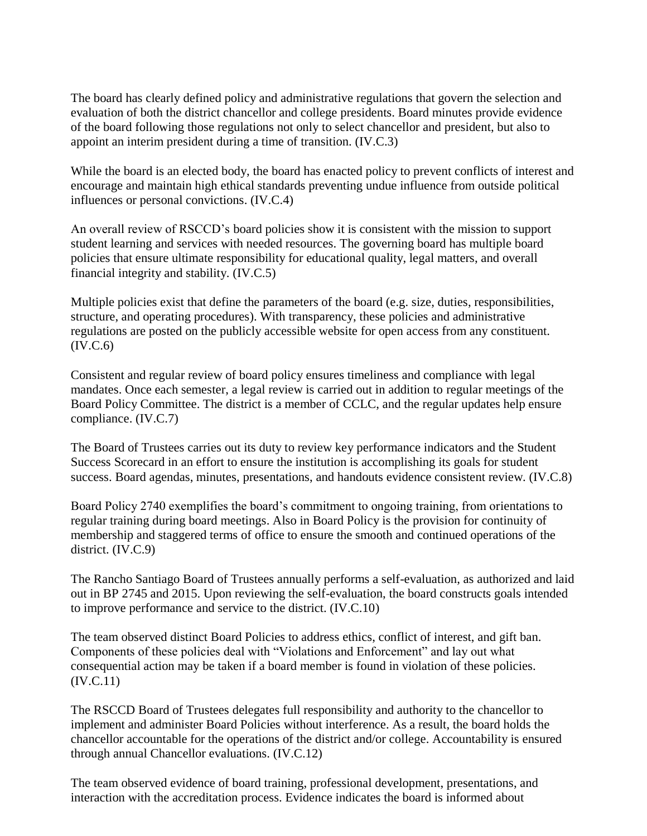The board has clearly defined policy and administrative regulations that govern the selection and evaluation of both the district chancellor and college presidents. Board minutes provide evidence of the board following those regulations not only to select chancellor and president, but also to appoint an interim president during a time of transition. (IV.C.3)

While the board is an elected body, the board has enacted policy to prevent conflicts of interest and encourage and maintain high ethical standards preventing undue influence from outside political influences or personal convictions. (IV.C.4)

An overall review of RSCCD's board policies show it is consistent with the mission to support student learning and services with needed resources. The governing board has multiple board policies that ensure ultimate responsibility for educational quality, legal matters, and overall financial integrity and stability. (IV.C.5)

Multiple policies exist that define the parameters of the board (e.g. size, duties, responsibilities, structure, and operating procedures). With transparency, these policies and administrative regulations are posted on the publicly accessible website for open access from any constituent.  $(IV.C.6)$ 

Consistent and regular review of board policy ensures timeliness and compliance with legal mandates. Once each semester, a legal review is carried out in addition to regular meetings of the Board Policy Committee. The district is a member of CCLC, and the regular updates help ensure compliance. (IV.C.7)

The Board of Trustees carries out its duty to review key performance indicators and the Student Success Scorecard in an effort to ensure the institution is accomplishing its goals for student success. Board agendas, minutes, presentations, and handouts evidence consistent review. (IV.C.8)

Board Policy 2740 exemplifies the board's commitment to ongoing training, from orientations to regular training during board meetings. Also in Board Policy is the provision for continuity of membership and staggered terms of office to ensure the smooth and continued operations of the district. (IV.C.9)

The Rancho Santiago Board of Trustees annually performs a self-evaluation, as authorized and laid out in BP 2745 and 2015. Upon reviewing the self-evaluation, the board constructs goals intended to improve performance and service to the district. (IV.C.10)

The team observed distinct Board Policies to address ethics, conflict of interest, and gift ban. Components of these policies deal with "Violations and Enforcement" and lay out what consequential action may be taken if a board member is found in violation of these policies. (IV.C.11)

The RSCCD Board of Trustees delegates full responsibility and authority to the chancellor to implement and administer Board Policies without interference. As a result, the board holds the chancellor accountable for the operations of the district and/or college. Accountability is ensured through annual Chancellor evaluations. (IV.C.12)

The team observed evidence of board training, professional development, presentations, and interaction with the accreditation process. Evidence indicates the board is informed about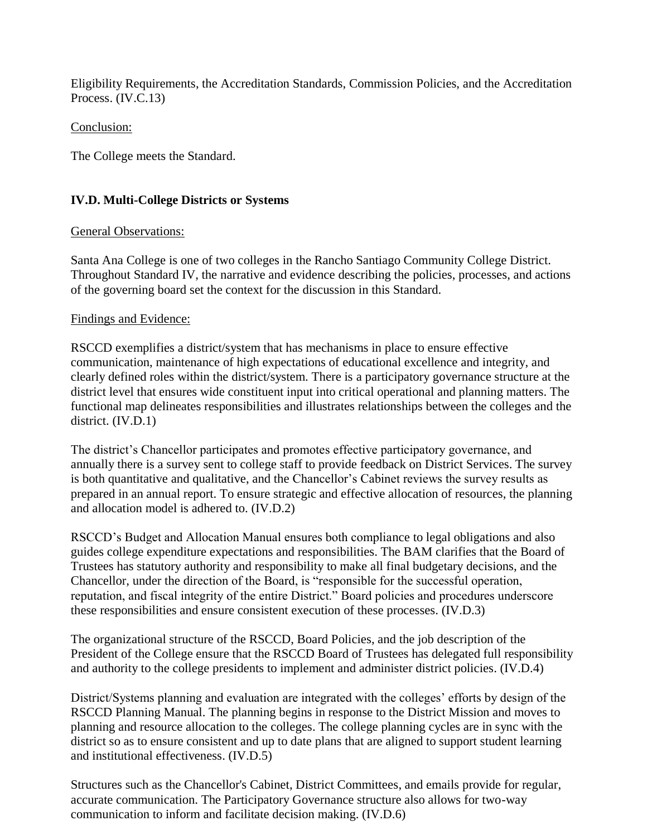Eligibility Requirements, the Accreditation Standards, Commission Policies, and the Accreditation Process. (IV.C.13)

Conclusion:

The College meets the Standard.

#### <span id="page-46-0"></span>**IV.D. Multi-College Districts or Systems**

#### General Observations:

Santa Ana College is one of two colleges in the Rancho Santiago Community College District. Throughout Standard IV, the narrative and evidence describing the policies, processes, and actions of the governing board set the context for the discussion in this Standard.

#### Findings and Evidence:

RSCCD exemplifies a district/system that has mechanisms in place to ensure effective communication, maintenance of high expectations of educational excellence and integrity, and clearly defined roles within the district/system. There is a participatory governance structure at the district level that ensures wide constituent input into critical operational and planning matters. The functional map delineates responsibilities and illustrates relationships between the colleges and the district. (IV.D.1)

The district's Chancellor participates and promotes effective participatory governance, and annually there is a survey sent to college staff to provide feedback on District Services. The survey is both quantitative and qualitative, and the Chancellor's Cabinet reviews the survey results as prepared in an annual report. To ensure strategic and effective allocation of resources, the planning and allocation model is adhered to. (IV.D.2)

RSCCD's Budget and Allocation Manual ensures both compliance to legal obligations and also guides college expenditure expectations and responsibilities. The BAM clarifies that the Board of Trustees has statutory authority and responsibility to make all final budgetary decisions, and the Chancellor, under the direction of the Board, is "responsible for the successful operation, reputation, and fiscal integrity of the entire District." Board policies and procedures underscore these responsibilities and ensure consistent execution of these processes. (IV.D.3)

The organizational structure of the RSCCD, Board Policies, and the job description of the President of the College ensure that the RSCCD Board of Trustees has delegated full responsibility and authority to the college presidents to implement and administer district policies. (IV.D.4)

District/Systems planning and evaluation are integrated with the colleges' efforts by design of the RSCCD Planning Manual. The planning begins in response to the District Mission and moves to planning and resource allocation to the colleges. The college planning cycles are in sync with the district so as to ensure consistent and up to date plans that are aligned to support student learning and institutional effectiveness. (IV.D.5)

Structures such as the Chancellor's Cabinet, District Committees, and emails provide for regular, accurate communication. The Participatory Governance structure also allows for two-way communication to inform and facilitate decision making. (IV.D.6)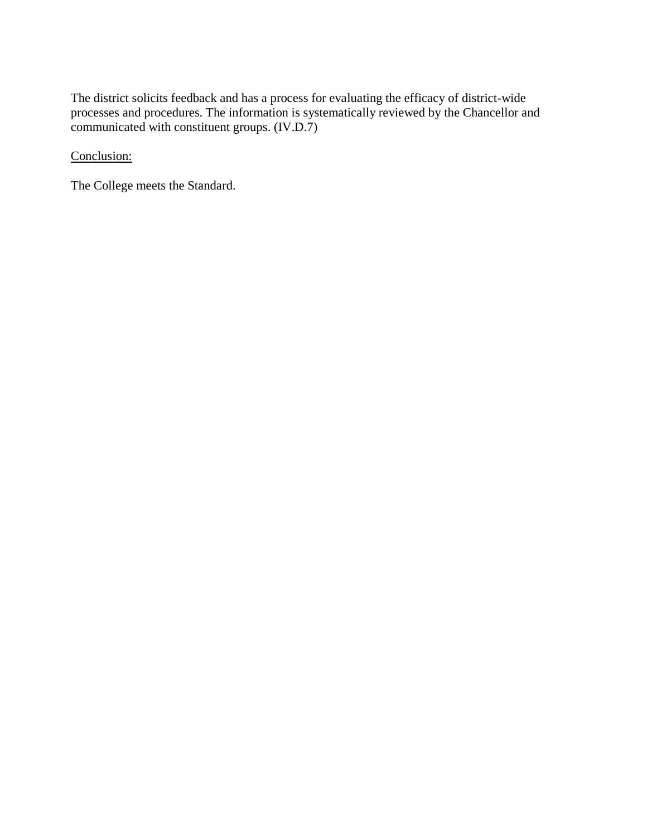The district solicits feedback and has a process for evaluating the efficacy of district-wide processes and procedures. The information is systematically reviewed by the Chancellor and communicated with constituent groups. (IV.D.7)

Conclusion:

The College meets the Standard.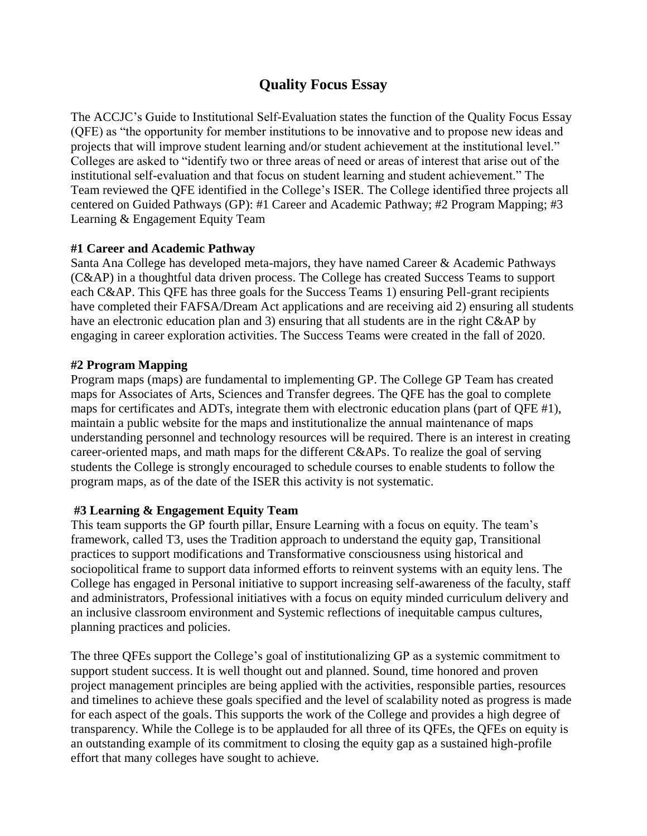# **Quality Focus Essay**

<span id="page-48-0"></span>The ACCJC's Guide to Institutional Self-Evaluation states the function of the Quality Focus Essay (QFE) as "the opportunity for member institutions to be innovative and to propose new ideas and projects that will improve student learning and/or student achievement at the institutional level." Colleges are asked to "identify two or three areas of need or areas of interest that arise out of the institutional self-evaluation and that focus on student learning and student achievement." The Team reviewed the QFE identified in the College's ISER. The College identified three projects all centered on Guided Pathways (GP): #1 Career and Academic Pathway; #2 Program Mapping; #3 Learning & Engagement Equity Team

#### **#1 Career and Academic Pathway**

Santa Ana College has developed meta-majors, they have named Career & Academic Pathways (C&AP) in a thoughtful data driven process. The College has created Success Teams to support each C&AP. This QFE has three goals for the Success Teams 1) ensuring Pell-grant recipients have completed their FAFSA/Dream Act applications and are receiving aid 2) ensuring all students have an electronic education plan and 3) ensuring that all students are in the right C&AP by engaging in career exploration activities. The Success Teams were created in the fall of 2020.

#### **#2 Program Mapping**

Program maps (maps) are fundamental to implementing GP. The College GP Team has created maps for Associates of Arts, Sciences and Transfer degrees. The QFE has the goal to complete maps for certificates and ADTs, integrate them with electronic education plans (part of QFE #1), maintain a public website for the maps and institutionalize the annual maintenance of maps understanding personnel and technology resources will be required. There is an interest in creating career-oriented maps, and math maps for the different C&APs. To realize the goal of serving students the College is strongly encouraged to schedule courses to enable students to follow the program maps, as of the date of the ISER this activity is not systematic.

#### **#3 Learning & Engagement Equity Team**

This team supports the GP fourth pillar, Ensure Learning with a focus on equity. The team's framework, called T3, uses the Tradition approach to understand the equity gap, Transitional practices to support modifications and Transformative consciousness using historical and sociopolitical frame to support data informed efforts to reinvent systems with an equity lens. The College has engaged in Personal initiative to support increasing self-awareness of the faculty, staff and administrators, Professional initiatives with a focus on equity minded curriculum delivery and an inclusive classroom environment and Systemic reflections of inequitable campus cultures, planning practices and policies.

The three QFEs support the College's goal of institutionalizing GP as a systemic commitment to support student success. It is well thought out and planned. Sound, time honored and proven project management principles are being applied with the activities, responsible parties, resources and timelines to achieve these goals specified and the level of scalability noted as progress is made for each aspect of the goals. This supports the work of the College and provides a high degree of transparency. While the College is to be applauded for all three of its QFEs, the QFEs on equity is an outstanding example of its commitment to closing the equity gap as a sustained high-profile effort that many colleges have sought to achieve.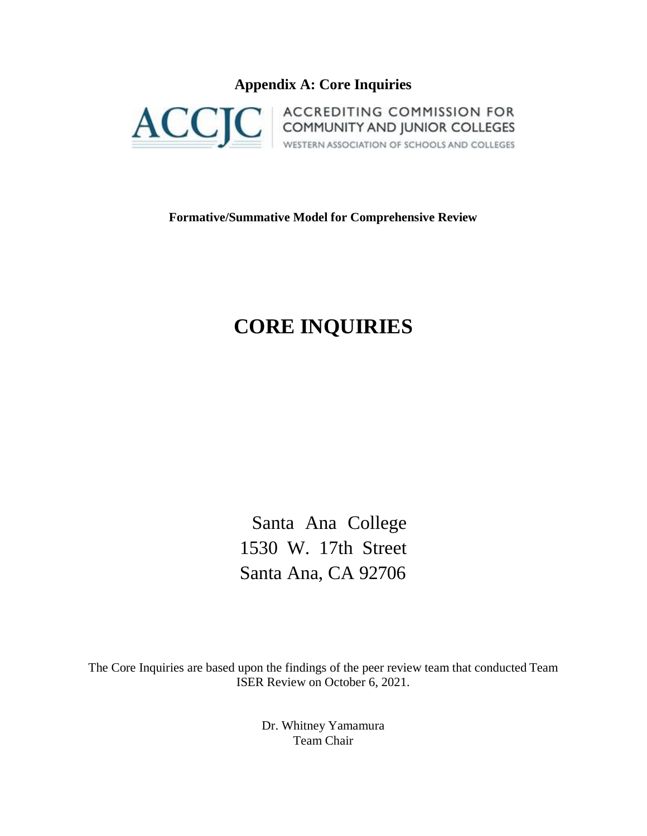# **Appendix A: Core Inquiries**

<span id="page-49-0"></span>

ACCJC ACCREDITING COMMISSION FOR COLLEGES WESTERN ASSOCIATION OF SCHOOLS AND COLLEGES

**Formative/Summative Model for Comprehensive Review**

# **CORE INQUIRIES**

Santa Ana College 1530 W. 17th Street Santa Ana, CA 92706

The Core Inquiries are based upon the findings of the peer review team that conducted Team ISER Review on October 6, 2021.

> Dr. Whitney Yamamura Team Chair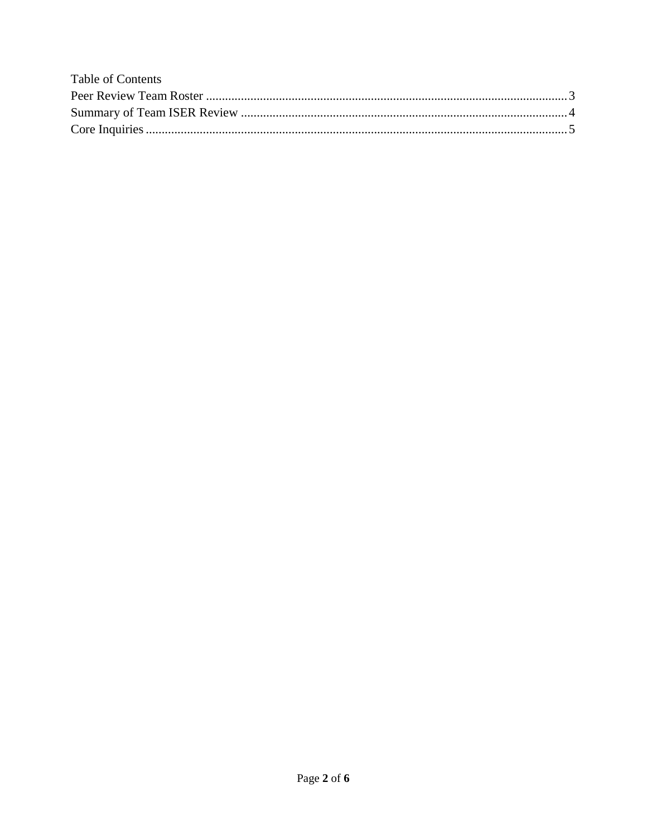| <b>Table of Contents</b> |  |
|--------------------------|--|
|                          |  |
|                          |  |
|                          |  |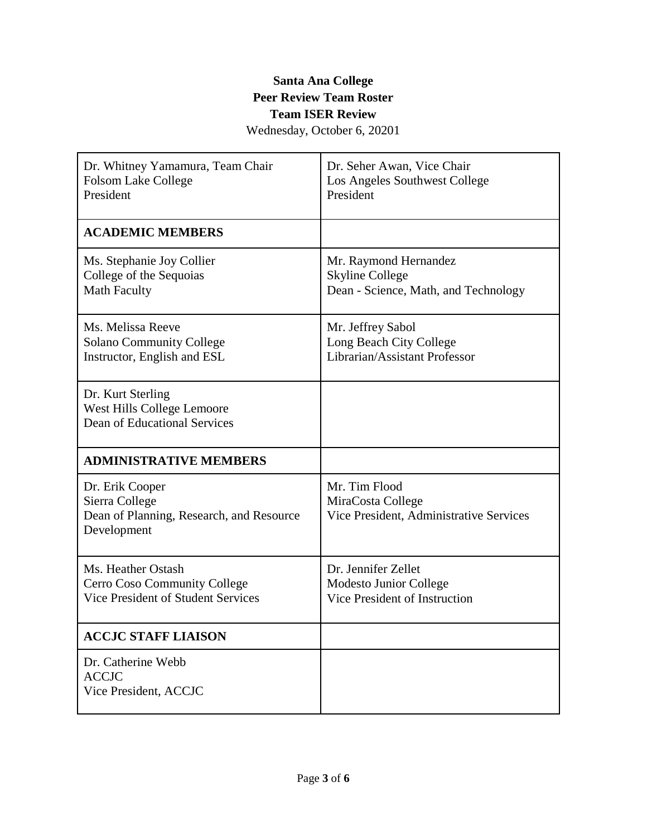# **Santa Ana College Peer Review Team Roster Team ISER Review**

Wednesday, October 6, 20201

<span id="page-51-0"></span>

| Dr. Whitney Yamamura, Team Chair<br>Folsom Lake College<br>President                            | Dr. Seher Awan, Vice Chair<br>Los Angeles Southwest College<br>President                |
|-------------------------------------------------------------------------------------------------|-----------------------------------------------------------------------------------------|
| <b>ACADEMIC MEMBERS</b>                                                                         |                                                                                         |
| Ms. Stephanie Joy Collier<br>College of the Sequoias<br><b>Math Faculty</b>                     | Mr. Raymond Hernandez<br><b>Skyline College</b><br>Dean - Science, Math, and Technology |
| Ms. Melissa Reeve<br><b>Solano Community College</b><br>Instructor, English and ESL             | Mr. Jeffrey Sabol<br>Long Beach City College<br>Librarian/Assistant Professor           |
| Dr. Kurt Sterling<br>West Hills College Lemoore<br>Dean of Educational Services                 |                                                                                         |
| <b>ADMINISTRATIVE MEMBERS</b>                                                                   |                                                                                         |
| Dr. Erik Cooper<br>Sierra College<br>Dean of Planning, Research, and Resource<br>Development    | Mr. Tim Flood<br>MiraCosta College<br>Vice President, Administrative Services           |
| Ms. Heather Ostash<br>Cerro Coso Community College<br><b>Vice President of Student Services</b> | Dr. Jennifer Zellet<br>Modesto Junior College<br>Vice President of Instruction          |
| <b>ACCJC STAFF LIAISON</b>                                                                      |                                                                                         |
| Dr. Catherine Webb<br><b>ACCJC</b><br>Vice President, ACCJC                                     |                                                                                         |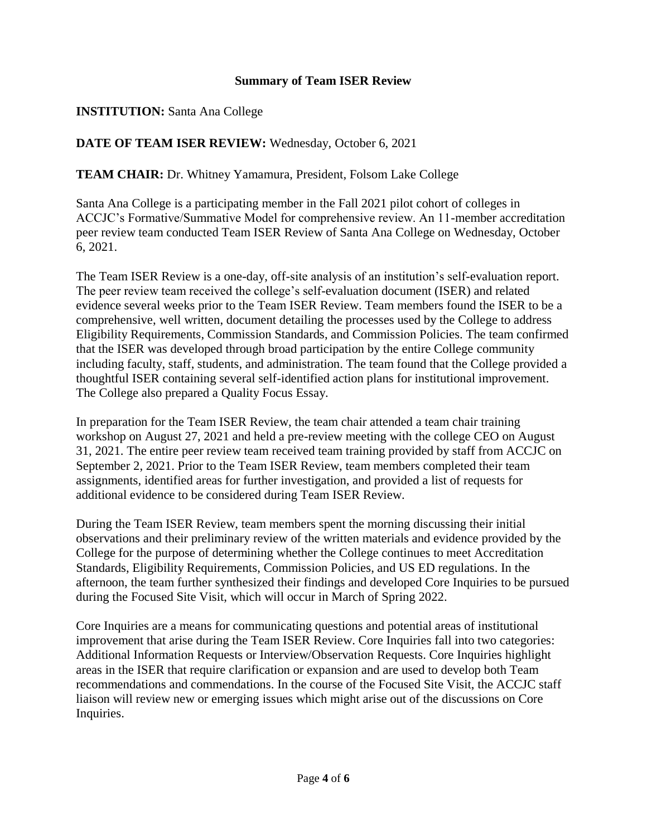#### **Summary of Team ISER Review**

<span id="page-52-0"></span>**INSTITUTION:** Santa Ana College

# **DATE OF TEAM ISER REVIEW:** Wednesday, October 6, 2021

**TEAM CHAIR:** Dr. Whitney Yamamura, President, Folsom Lake College

Santa Ana College is a participating member in the Fall 2021 pilot cohort of colleges in ACCJC's Formative/Summative Model for comprehensive review. An 11-member accreditation peer review team conducted Team ISER Review of Santa Ana College on Wednesday, October 6, 2021.

The Team ISER Review is a one-day, off-site analysis of an institution's self-evaluation report. The peer review team received the college's self-evaluation document (ISER) and related evidence several weeks prior to the Team ISER Review. Team members found the ISER to be a comprehensive, well written, document detailing the processes used by the College to address Eligibility Requirements, Commission Standards, and Commission Policies. The team confirmed that the ISER was developed through broad participation by the entire College community including faculty, staff, students, and administration. The team found that the College provided a thoughtful ISER containing several self-identified action plans for institutional improvement. The College also prepared a Quality Focus Essay.

In preparation for the Team ISER Review, the team chair attended a team chair training workshop on August 27, 2021 and held a pre-review meeting with the college CEO on August 31, 2021. The entire peer review team received team training provided by staff from ACCJC on September 2, 2021. Prior to the Team ISER Review, team members completed their team assignments, identified areas for further investigation, and provided a list of requests for additional evidence to be considered during Team ISER Review.

During the Team ISER Review, team members spent the morning discussing their initial observations and their preliminary review of the written materials and evidence provided by the College for the purpose of determining whether the College continues to meet Accreditation Standards, Eligibility Requirements, Commission Policies, and US ED regulations. In the afternoon, the team further synthesized their findings and developed Core Inquiries to be pursued during the Focused Site Visit, which will occur in March of Spring 2022.

Core Inquiries are a means for communicating questions and potential areas of institutional improvement that arise during the Team ISER Review. Core Inquiries fall into two categories: Additional Information Requests or Interview/Observation Requests. Core Inquiries highlight areas in the ISER that require clarification or expansion and are used to develop both Team recommendations and commendations. In the course of the Focused Site Visit, the ACCJC staff liaison will review new or emerging issues which might arise out of the discussions on Core Inquiries.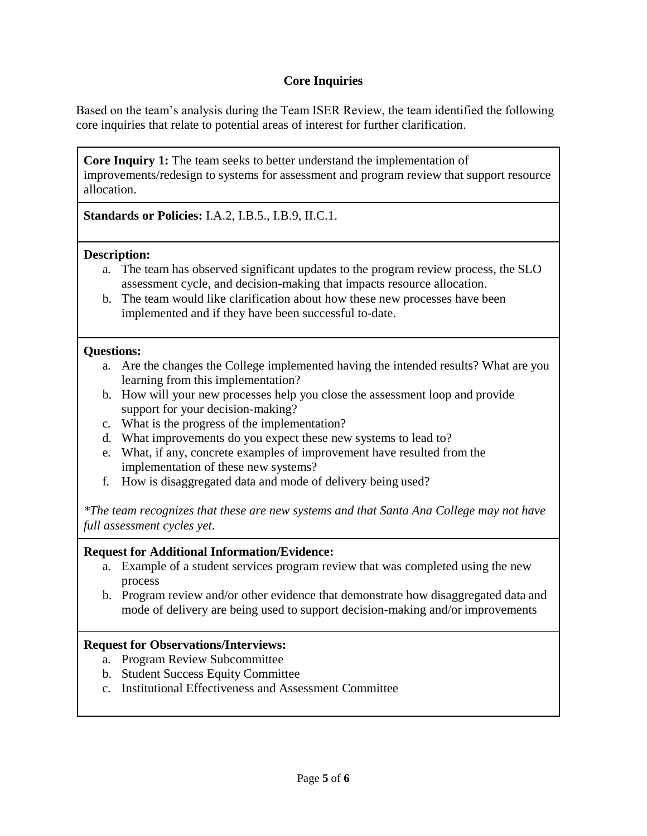# **Core Inquiries**

<span id="page-53-0"></span>Based on the team's analysis during the Team ISER Review, the team identified the following core inquiries that relate to potential areas of interest for further clarification.

**Core Inquiry 1:** The team seeks to better understand the implementation of improvements/redesign to systems for assessment and program review that support resource allocation.

**Standards or Policies:** I.A.2, I.B.5., I.B.9, II.C.1.

#### **Description:**

- a. The team has observed significant updates to the program review process, the SLO assessment cycle, and decision-making that impacts resource allocation.
- b. The team would like clarification about how these new processes have been implemented and if they have been successful to-date.

#### **Questions:**

- a. Are the changes the College implemented having the intended results? What are you learning from this implementation?
- b. How will your new processes help you close the assessment loop and provide support for your decision-making?
- c. What is the progress of the implementation?
- d. What improvements do you expect these new systems to lead to?
- e. What, if any, concrete examples of improvement have resulted from the implementation of these new systems?
- f. How is disaggregated data and mode of delivery being used?

*\*The team recognizes that these are new systems and that Santa Ana College may not have full assessment cycles yet.*

#### **Request for Additional Information/Evidence:**

- a. Example of a student services program review that was completed using the new process
- b. Program review and/or other evidence that demonstrate how disaggregated data and mode of delivery are being used to support decision-making and/or improvements

#### **Request for Observations/Interviews:**

- a. Program Review Subcommittee
- b. Student Success Equity Committee
- c. Institutional Effectiveness and Assessment Committee